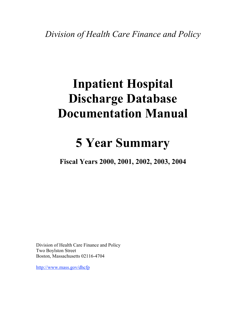*Division of Health Care Finance and Policy*

# **Inpatient Hospital Discharge Database Documentation Manual**

## **5 Year Summary**

**Fiscal Years 2000, 2001, 2002, 2003, 2004**

Division of Health Care Finance and Policy Two Boylston Street Boston, Massachusetts 02116-4704

http://www.mass.gov/dhcfp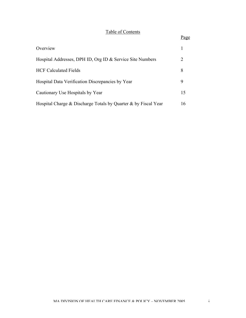## Table of Contents

#### Page

| Overview                                                       |    |
|----------------------------------------------------------------|----|
| Hospital Addresses, DPH ID, Org ID & Service Site Numbers      | 2  |
| <b>HCF Calculated Fields</b>                                   | 8  |
| Hospital Data Verification Discrepancies by Year               | 9  |
| Cautionary Use Hospitals by Year                               | 15 |
| Hospital Charge & Discharge Totals by Quarter & by Fiscal Year | 16 |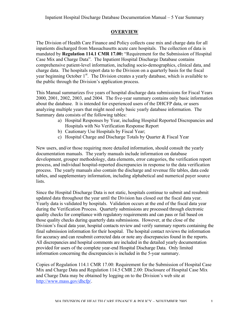### **OVERVIEW**

The Division of Health Care Finance and Policy collects case mix and charge data for all inpatients discharged from Massachusetts acute care hospitals. The collection of data is mandated by **Regulation 114.1 CMR 17.00:** "Requirement for the Submission of Hospital Case Mix and Charge Data". The Inpatient Hospital Discharge Database contains comprehensive patient-level information, including socio-demographics, clinical data, and charge data. The hospitals report data to the Division on a quarterly basis for the fiscal year beginning October 1<sup>st</sup>. The Division creates a yearly database, which is available to the public through the Division's application process.

This Manual summarizes five years of hospital discharge data submissions for Fiscal Years 2000, 2001, 2002, 2003, and 2004. The five-year summary contains only basic information about the database. It is intended for experienced users of the DHCFP data, or users analyzing multiple years that might need only basic yearly database information. The Summary data consists of the following tables:

- a) Hospital Responses by Year, including Hospital Reported Discrepancies and Hospitals with No Verification Response Report
- b) Cautionary Use Hospitals by Fiscal Year;
- c) Hospital Charge and Discharge Totals by Quarter & Fiscal Year

New users, and/or those requiring more detailed information, should consult the yearly documentation manuals. The yearly manuals include information on database development, grouper methodology, data elements, error categories, the verification report process, and individual hospital-reported discrepancies in response to the data verification process. The yearly manuals also contain the discharge and revenue file tables, data code tables, and supplementary information, including alphabetical and numerical payer source lists.

Since the Hospital Discharge Data is not static, hospitals continue to submit and resubmit updated data throughout the year until the Division has closed out the fiscal data year. Yearly data is validated by hospitals. Validation occurs at the end of the fiscal data year during the Verification Process. Quarterly submissions are processed through electronic quality checks for compliance with regulatory requirements and can pass or fail based on those quality checks during quarterly data submissions. However, at the close of the Division's fiscal data year, hospital contacts review and verify summary reports containing the final submission information for their hospital. The hospital contact reviews the information for accuracy and can resubmit corrected data or note any discrepancies found in the reports. All discrepancies and hospital comments are included in the detailed yearly documentation provided for users of the complete year-end Hospital Discharge Data. Only limited information concerning the discrepancies is included in the 5-year summary.

Copies of Regulation 114.1 CMR 17.00: Requirement for the Submission of Hospital Case Mix and Charge Data and Regulation 114.5 CMR 2.00: Disclosure of Hospital Case Mix and Charge Data may be obtained by logging on to the Division's web site at http://www.mass.gov/dhcfp/.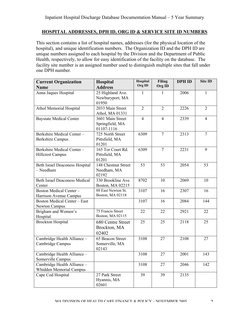This section contains a list of hospital names, addresses (for the physical location of the hospital), and unique identification numbers. The Organization ID and the DPH ID are unique numbers assigned to each hospital by the Division and the Department of Public Health, respectively, to allow for easy identification of the facility on the database. The facility site number is an assigned number used to distinguish multiple sites that fall under one DPH number.

| <b>Current Organization</b>                             | Hospital                                          | <b>Hospital</b> | Filing         |      | Site ID        |
|---------------------------------------------------------|---------------------------------------------------|-----------------|----------------|------|----------------|
| <b>Name</b>                                             | <b>Address</b>                                    | Org ID          | Org ID         |      |                |
| Anna Jaques Hospital                                    | 25 Highland Ave.<br>Newburyport, MA<br>01950      | $\mathbf{1}$    | 1              | 2006 | $\mathbf{1}$   |
| Athol Memorial Hospital                                 | 2033 Main Street<br>Athol, MA 01331               | $\overline{2}$  | $\overline{2}$ | 2226 | $\overline{2}$ |
| <b>Baystate Medical Center</b>                          | 3601 Main Street<br>Springfield, MA<br>01107-1116 | $\overline{4}$  | $\overline{4}$ | 2339 | $\overline{4}$ |
| Berkshire Medical Center-<br><b>Berkshire Campus</b>    | 725 North Street<br>Pittsfield, MA<br>01201       | 6309            | $\overline{7}$ | 2313 | $\overline{7}$ |
| Berkshire Medical Center-<br><b>Hillcrest Campus</b>    | 165 Tor Court Rd.<br>Pittsfield, MA<br>01201      | 6309            | $\overline{7}$ | 2231 | 9              |
| <b>Beth Israel Deaconess Hospital</b><br>- Needham      | 148 Chestnut Street<br>Needham, MA<br>02192       | 53              | 53             | 2054 | 53             |
| <b>Beth Israel Deaconess Medical</b><br>Center          | 330 Brookline Ave.<br>Boston, MA 02215            | 8702            | 10             | 2069 | 10             |
| <b>Boston Medical Center-</b><br>Harrison Avenue Campus | 88 East Newton St.<br>Boston, MA 02118            | 3107            | 16             | 2307 | 16             |
| <b>Boston Medical Center - East</b><br>Newton Campus    |                                                   | 3107            | 16             | 2084 | 144            |
| Brigham and Women's<br>Hospital                         | 75 Francis Street<br>Boston, MA 02115             | 22              | 22             | 2921 | 22             |
| <b>Brockton Hospital</b>                                | 680 Centre Street<br>Brockton, MA<br>02402        | 25              | 25             | 2118 | 25             |
| Cambridge Health Alliance -<br>Cambridge Campus         | 65 Beacon Street<br>Somerville, MA<br>02143       | 3108            | 27             | 2108 | 27             |
| Cambridge Health Alliance -<br>Somerville Campus        |                                                   | 3108            | 27             | 2001 | 143            |
| Cambridge Health Alliance -<br>Whidden Memorial Campus  |                                                   | 3108            | 27             | 2046 | 142            |
| Cape Cod Hospital                                       | 27 Park Street<br>Hyannis, MA<br>02601            | 39              | 39             | 2135 |                |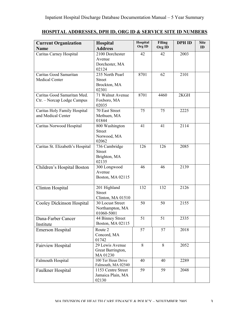| <b>Current Organization</b><br><b>Name</b>                | <b>Hospital</b><br><b>Address</b>                         | Hospital<br>Org ID | <b>Filing</b><br>Org ID | <b>DPH ID</b> | <b>Site</b><br>ID |
|-----------------------------------------------------------|-----------------------------------------------------------|--------------------|-------------------------|---------------|-------------------|
| Caritas Carney Hospital                                   | 2100 Dorchester<br>Avenue<br>Dorchester, MA<br>02124      | 42                 | 42                      | 2003          |                   |
| Caritas Good Samaritan<br><b>Medical Center</b>           | 235 North Pearl<br><b>Street</b><br>Brockton, MA<br>02301 | 8701               | 62                      | 2101          |                   |
| Caritas Good Samaritan Med.<br>Ctr. - Norcap Lodge Campus | 71 Walnut Avenue<br>Foxboro, MA<br>02035                  | 8701               | 4460                    | 2KGH          |                   |
| Caritas Holy Family Hospital<br>and Medical Center        | 70 East Street<br>Methuen, MA<br>01844                    | 75                 | 75                      | 2225          |                   |
| Caritas Norwood Hospital                                  | 800 Washington<br><b>Street</b><br>Norwood, MA<br>02062   | 41                 | 41                      | 2114          |                   |
| Caritas St. Elizabeth's Hospital                          | 736 Cambridge<br><b>Street</b><br>Brighton, MA<br>02135   | 126                | 126                     | 2085          |                   |
| Children's Hospital Boston                                | 300 Longwood<br>Avenue<br>Boston, MA 02115                | 46                 | 46                      | 2139          |                   |
| Clinton Hospital                                          | 201 Highland<br><b>Street</b><br>Clinton, MA 01510        | 132                | 132                     | 2126          |                   |
| Cooley Dickinson Hospital                                 | 30 Locust Street<br>Northampton, MA<br>01060-5001         | 50                 | 50                      | 2155          |                   |
| Dana-Farber Cancer<br>Institute                           | 44 Binney Street<br>Boston, MA 02115                      | 51                 | 51                      | 2335          |                   |
| <b>Emerson Hospital</b>                                   | Route 2<br>Concord, MA<br>01742                           | 57                 | 57                      | 2018          |                   |
| Fairview Hospital                                         | 29 Lewis Avenue<br>Great Barrington,<br>MA 01230          | 8                  | 8                       | 2052          |                   |
| Falmouth Hospital                                         | 100 Ter Heun Drive<br>Falmouth, MA 02540                  | 40                 | 40                      | 2289          |                   |
| Faulkner Hospital                                         | 1153 Centre Street<br>Jamaica Plain, MA<br>02130          | 59                 | 59                      | 2048          |                   |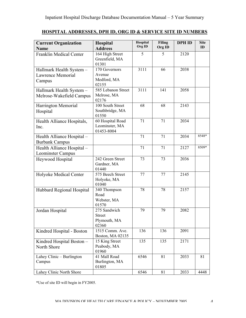| <b>Current Organization</b><br><b>Name</b>              | Hospital<br><b>Address</b>                             | Hospital<br>Org ID | <b>Filing</b><br>Org ID | <b>DPH ID</b> | <b>Site</b><br>ID |
|---------------------------------------------------------|--------------------------------------------------------|--------------------|-------------------------|---------------|-------------------|
| <b>Franklin Medical Center</b>                          | 164 High Street<br>Greenfield, MA<br>01301             | 5                  | 5                       | 2120          |                   |
| Hallmark Health System -<br>Lawrence Memorial<br>Campus | 170 Governors<br>Avenue<br>Medford, MA<br>02155        | 3111               | 66                      | 2038          |                   |
| Hallmark Health System -<br>Melrose-Wakefield Campus    | 585 Lebanon Street<br>Melrose, MA<br>02176             | 3111               | 141                     | 2058          |                   |
| Harrington Memorial<br>Hospital                         | 100 South Street<br>Southbridge, MA<br>01550           | 68                 | 68                      | 2143          |                   |
| Health Alliance Hospitals,<br>Inc.                      | 60 Hospital Road<br>Leominster, MA<br>01453-8004       | 71                 | 71                      | 2034          |                   |
| Health Alliance Hospital -<br><b>Burbank Campus</b>     |                                                        | 71                 | 71                      | 2034          | 8548*             |
| Health Alliance Hospital -<br>Leominster Campus         |                                                        | 71                 | 71                      | 2127          | 8509*             |
| Heywood Hospital                                        | 242 Green Street<br>Gardner, MA<br>01440               | 73                 | 73                      | 2036          |                   |
| Holyoke Medical Center                                  | 575 Beech Street<br>Holyoke, MA<br>01040               | 77                 | 77                      | 2145          |                   |
| Hubbard Regional Hospital                               | 340 Thompson<br>Road<br>Webster, MA<br>01570           | 78                 | 78                      | 2157          |                   |
| Jordan Hospital                                         | 275 Sandwich<br><b>Street</b><br>Plymouth, MA<br>02360 | 79                 | 79                      | 2082          |                   |
| Kindred Hospital - Boston                               | 1515 Comm. Ave.<br>Boston, MA 02135                    | 136                | 136                     | 2091          |                   |
| Kindred Hospital Boston -<br>North Shore                | 15 King Street<br>Peabody, MA<br>01960                 | 135                | 135                     | 2171          |                   |
| Lahey Clinic – Burlington<br>Campus                     | 41 Mall Road<br>Burlington, MA<br>01805                | 6546               | 81                      | 2033          | 81                |
| Lahey Clinic North Shore                                |                                                        | 6546               | 81                      | 2033          | 4448              |

\*Use of site ID will begin in FY2005.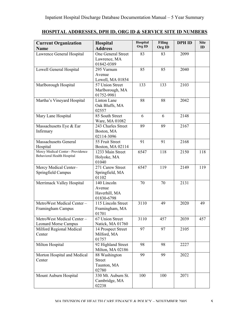|--|

| <b>Current Organization</b><br><b>Name</b>  | Hospital<br><b>Address</b>          | Hospital<br>Org ID | <b>Filing</b><br>Org ID | <b>DPH ID</b> | <b>Site</b><br>ID |
|---------------------------------------------|-------------------------------------|--------------------|-------------------------|---------------|-------------------|
| Lawrence General Hospital                   | One General Street                  | 83                 | 83                      | 2099          |                   |
|                                             | Lawrence, MA                        |                    |                         |               |                   |
| Lowell General Hospital                     | 01842-0389<br>295 Varnum            | 85                 | 85                      | 2040          |                   |
|                                             | Avenue                              |                    |                         |               |                   |
|                                             | Lowell, MA 01854                    |                    |                         |               |                   |
| Marlborough Hospital                        | 57 Union Street                     | 133                | 133                     | 2103          |                   |
|                                             | Marlborough, MA                     |                    |                         |               |                   |
| Martha's Vineyard Hospital                  | 01752-9981<br>Linton Lane           | 88                 | 88                      | 2042          |                   |
|                                             | Oak Bluffs, MA                      |                    |                         |               |                   |
|                                             | 02557                               |                    |                         |               |                   |
| Mary Lane Hospital                          | 85 South Street                     | 6                  | 6                       | 2148          |                   |
|                                             | Ware, MA 01082                      |                    |                         |               |                   |
| Massachusetts Eye & Ear                     | 243 Charles Street                  | 89                 | 89                      | 2167          |                   |
| Infirmary                                   | Boston, MA<br>02114-3096            |                    |                         |               |                   |
| <b>Massachusetts General</b>                | 55 Fruit Street                     | 91                 | 91                      | 2168          |                   |
| Hospital                                    | Boston, MA 02114                    |                    |                         |               |                   |
| Mercy Medical Center - Providence           | 1233 Main Street                    | 6547               | 118                     | 2150          | 118               |
| Behavioral Health Hospital                  | Holyoke, MA                         |                    |                         |               |                   |
|                                             | 01040                               |                    |                         |               |                   |
| Mercy Medical Center-<br>Springfield Campus | 271 Carew Street<br>Springfield, MA | 6547               | 119                     | 2149          | 119               |
|                                             | 01102                               |                    |                         |               |                   |
| Merrimack Valley Hospital                   | 140 Lincoln                         | 70<br>70           |                         | 2131          |                   |
|                                             | Avenue                              |                    |                         |               |                   |
|                                             | Haverhill, MA                       |                    |                         |               |                   |
| MetroWest Medical Center-                   | 01830-6798<br>115 Lincoln Street    | 3110               | 49                      | 2020          | 49                |
| Framingham Campus                           | Framingham, MA                      |                    |                         |               |                   |
|                                             | 01701                               |                    |                         |               |                   |
| MetroWest Medical Center -                  | 67 Union Street                     | 3110               | 457                     | 2039          | 457               |
| <b>Leonard Morse Campus</b>                 | Natick, MA 01760                    |                    |                         |               |                   |
| Milford Regional Medical                    | 14 Prospect Street                  | 97                 | 97                      | 2105          |                   |
| Center                                      | Milford, MA<br>01757                |                    |                         |               |                   |
| Milton Hospital                             | 92 Highland Street                  | 98<br>98           |                         | 2227          |                   |
|                                             | Milton, MA 02186                    |                    |                         |               |                   |
| Morton Hospital and Medical                 | 88 Washington                       | 99                 | 99                      | 2022          |                   |
| Center                                      | <b>Street</b>                       |                    |                         |               |                   |
|                                             | Taunton, MA<br>02780                |                    |                         |               |                   |
| Mount Auburn Hospital                       | 330 Mt. Auburn St.                  | 100                | 100                     | 2071          |                   |
|                                             | Cambridge, MA                       |                    |                         |               |                   |
|                                             | 02238                               |                    |                         |               |                   |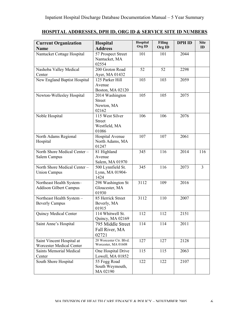| <b>Current Organization</b><br><b>Hospital</b><br><b>Address</b><br><b>Name</b> |                                                            | Hospital<br>Org ID | <b>Filing</b><br>Org ID | <b>DPH ID</b> | <b>Site</b><br>ID |
|---------------------------------------------------------------------------------|------------------------------------------------------------|--------------------|-------------------------|---------------|-------------------|
| Nantucket Cottage Hospital                                                      | 57 Prospect Street<br>Nantucket, MA                        | 101                | 101                     | 2044          |                   |
| Nashoba Valley Medical<br>Center                                                | 02554<br>200 Groton Road<br>Ayer, MA 01432                 | 52                 | 52                      | 2298          |                   |
| New England Baptist Hospital                                                    | 125 Parker Hill<br>Avenue<br>Boston, MA 02120              | 103                | 103                     | 2059          |                   |
| Newton-Wellesley Hospital                                                       | 2014 Washington<br><b>Street</b><br>Newton, MA<br>02162    | 105                | 105                     | 2075          |                   |
| Noble Hospital                                                                  | 115 West Silver<br><b>Street</b><br>Westfield, MA<br>01086 | 106                | 106                     | 2076          |                   |
| North Adams Regional<br>Hospital                                                | Hospital Avenue<br>North Adams, MA<br>01247                | 107                | 107                     | 2061          |                   |
| North Shore Medical Center -<br>Salem Campus                                    | 81 Highland<br>Avenue<br>Salem, MA 01970                   | 345                | 116                     | 2014          | 116               |
| North Shore Medical Center -<br><b>Union Campus</b>                             | 500 Lynnfield St.<br>Lynn, MA 01904-<br>1424               | 345                | 116                     | 2073          | $\overline{3}$    |
| Northeast Health System-<br><b>Addison Gilbert Campus</b>                       | 298 Washington St<br>Gloucester, MA<br>01930               | 3112               | 109                     | 2016          |                   |
| Northeast Health System -<br><b>Beverly Campus</b>                              | 85 Herrick Street<br>Beverly, MA<br>01915                  | 3112               | 110                     | 2007          |                   |
| Quincy Medical Center                                                           | 114 Whitwell St.<br>Quincy, MA 02169                       | 112                | 112                     | 2151          |                   |
| Saint Anne's Hospital                                                           | 795 Middle Street<br>Fall River, MA<br>02721               | 114                | 114                     | 2011          |                   |
| Saint Vincent Hospital at<br>Worcester Medical Center                           | 20 Worcester Ctr. Blvd.<br>Worcester, MA 01608             | 127                | 127                     | 2128          |                   |
| <b>Saints Memorial Medical</b><br>Center                                        | One Hospital Drive<br>Lowell, MA 01852                     | 115                | 115                     | 2063          |                   |
| South Shore Hospital                                                            | 55 Fogg Road<br>South Weymouth,<br>MA 02190                | 122                | 122                     | 2107          |                   |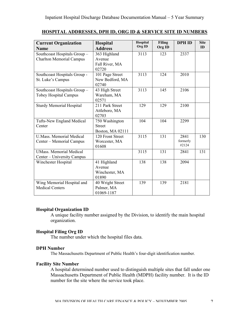| <b>Current Organization</b>     | Hospital         | Hospital | <b>Filing</b> | <b>DPH ID</b>     | <b>Site</b> |
|---------------------------------|------------------|----------|---------------|-------------------|-------------|
| <b>Name</b>                     | <b>Address</b>   | Org ID   | Org ID        |                   | ID          |
| Southcoast Hospitals Group-     | 363 Highland     | 3113     | 123           | 2337              |             |
| <b>Charlton Memorial Campus</b> | Avenue           |          |               |                   |             |
|                                 | Fall River, MA   |          |               |                   |             |
|                                 | 02720            |          |               |                   |             |
| Southcoast Hospitals Group -    | 101 Page Street  | 3113     | 124           | 2010              |             |
| St. Luke's Campus               | New Bedford, MA  |          |               |                   |             |
|                                 | 02740            |          |               |                   |             |
| Southcoast Hospitals Group-     | 43 High Street   | 3113     | 145           | 2106              |             |
| <b>Tobey Hospital Campus</b>    | Wareham, MA      |          |               |                   |             |
|                                 | 02571            |          |               |                   |             |
| <b>Sturdy Memorial Hospital</b> | 211 Park Street  | 129      | 129           | 2100              |             |
|                                 | Attleboro, MA    |          |               |                   |             |
|                                 | 02703            |          |               |                   |             |
| Tufts-New England Medical       | 750 Washington   | 104      | 104           | 2299              |             |
| Center                          | <b>Street</b>    |          |               |                   |             |
|                                 | Boston, MA 02111 |          |               |                   |             |
| <b>U.Mass. Memorial Medical</b> | 120 Front Street | 3115     | 131           | 2841              | 130         |
| Center – Memorial Campus        | Worcester, MA    |          |               | formerly<br>#2124 |             |
|                                 | 01608            |          |               |                   |             |
| <b>UMass.</b> Memorial Medical  |                  | 3115     | 131           | 2841              | 131         |
| Center – University Campus      |                  |          |               |                   |             |
| Winchester Hospital             | 41 Highland      | 138      | 138           | 2094              |             |
|                                 | Avenue           |          |               |                   |             |
|                                 | Winchester, MA   |          |               |                   |             |
|                                 | 01890            |          |               |                   |             |
| Wing Memorial Hospital and      | 40 Wright Street | 139      | 139           | 2181              |             |
| <b>Medical Centers</b>          | Palmer, MA       |          |               |                   |             |
|                                 | 01069-1187       |          |               |                   |             |

#### **Hospital Organization ID**

A unique facility number assigned by the Division, to identify the main hospital organization.

#### **Hospital Filing Org ID**

The number under which the hospital files data.

#### **DPH Number**

The Massachusetts Department of Public Health's four-digit identification number.

#### **Facility Site Number**

A hospital determined number used to distinguish multiple sites that fall under one Massachusetts Department of Public Health (MDPH) facility number. It is the ID number for the site where the service took place.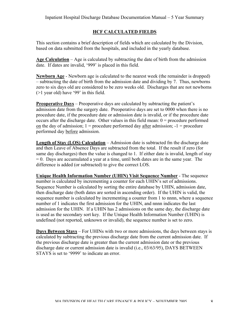#### **HCF CALCULATED FIELDS**

This section contains a brief description of fields which are calculated by the Division, based on data submitted from the hospitals, and included in the yearly database.

**Age Calculation** – Age is calculated by subtracting the date of birth from the admission date. If dates are invalid, '999' is placed in this field.

**Newborn Age** - Newborn age is calculated to the nearest week (the remainder is dropped) – subtracting the date of birth from the admission date and dividing by 7. Thus, newborns zero to six days old are considered to be zero weeks old. Discharges that are not newborns (>1 year old) have '99' in this field.

**Preoperative Days** – Preoperative days are calculated by subtracting the patient's admission date from the surgery date. Preoperative days are set to 0000 when there is no procedure date, if the procedure date or admission date is invalid, or if the procedure date occurs after the discharge date. Other values in this field mean:  $0 =$  procedure performed on the day of admission;  $1 =$  procedure performed day after admission;  $-1 =$  procedure performed day before admission.

**Length of Stay (LOS) Calculation** – Admission date is subtracted fm the discharge date and then Leave of Absence Days are subtracted from the total. If the result if zero (for same day discharges) then the value is changed to 1. If either date is invalid, length of stay  $= 0$ . Days are accumulated a year at a time, until both dates are in the same year. The difference is added (or subtracted) to give the correct LOS.

**Unique Health Information Number (UHIN) Visit Sequence Number** - The sequence number is calculated by incrementing a counter for each UHIN's set of admissions. Sequence Number is calculated by sorting the entire database by UHIN, admission date, then discharge date (both dates are sorted in ascending order). If the UHIN is valid, the sequence number is calculated by incrementing a counter from 1 to nnnn, where a sequence number of 1 indicates the first admission for the UHIN, and nnnn indicates the last admission for the UHIN. If a UHIN has 2 admissions on the same day, the discharge date is used as the secondary sort key. If the Unique Health Information Number (UHIN) is undefined (not reported, unknown or invalid), the sequence number is set to zero.

**Days Between Stays** – For UHINs with two or more admissions, the days between stays is calculated by subtracting the previous discharge date from the current admission date. If the previous discharge date is greater than the current admission date or the previous discharge date or current admission date is invalid (i.e., 03/63/95), DAYS BETWEEN STAYS is set to '9999' to indicate an error.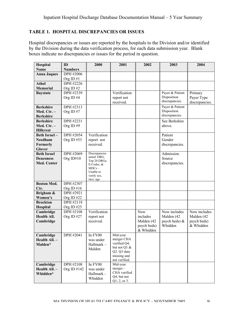## **TABLE 1. HOSPITAL DISCREPANCIES OR ISSUES**

Hospital discrepancies or issues are reported by the hospitals to the Division and/or identified by the Division during the data verification process, for each data submission year. Blank boxes indicate no discrepancies or issues for the period in question.

| Hospital           | ID               | 2000                       | 2001                      | 2002        | 2003            | 2004           |
|--------------------|------------------|----------------------------|---------------------------|-------------|-----------------|----------------|
| <b>Name</b>        | <b>Numbers</b>   |                            |                           |             |                 |                |
| <b>Anna Jaques</b> | DPH #2006        |                            |                           |             |                 |                |
|                    | Org ID $#1$      |                            |                           |             |                 |                |
| <b>Athol</b>       | DPH #2226        |                            |                           |             |                 |                |
| <b>Memorial</b>    | Org ID $#2$      |                            |                           |             |                 |                |
| <b>Baystate</b>    | DPH #2339        |                            | Verification              |             | Payer & Patient | Primary        |
|                    | Org ID#4         |                            | report not                |             | Disposition     | Payer Type     |
|                    |                  |                            | received.                 |             | discrepancies.  | discrepancies. |
| <b>Berkshire</b>   | DPH #2313        |                            |                           |             | Payer & Patient |                |
| Med. Ctr. -        | Org ID#7         |                            |                           |             | Disposition     |                |
| <b>Berkshire</b>   |                  |                            |                           |             | discrepancies.  |                |
| <b>Berkshire</b>   | DPH #2231        |                            |                           |             | See Berkshire   |                |
| Med. Ctr. -        | Org ID#9         |                            |                           |             | above.          |                |
| <b>Hillcrest</b>   |                  |                            |                           |             |                 |                |
| Beth Israel-       | DPH #2054        | Verification               |                           |             | Patient         |                |
| <b>Needham</b>     | Org ID $#53$     | report not                 |                           |             | Gender          |                |
| Formerly           |                  | received.                  |                           |             | discrepancies.  |                |
| <b>Glover</b>      |                  |                            |                           |             |                 |                |
| <b>Beth Israel</b> | <b>DPH #2069</b> | Discrepancies              |                           |             | Admission       |                |
| <b>Deaconess</b>   | Org ID#10        | noted: DRG,                |                           |             | Source          |                |
| <b>Med. Center</b> |                  | Top 20 DRGs,<br>E-Codes, & |                           |             | discrepancies.  |                |
|                    |                  | $MDCs -$                   |                           |             |                 |                |
|                    |                  | Unable to                  |                           |             |                 |                |
|                    |                  | verify sex,                |                           |             |                 |                |
| <b>Boston Med.</b> | DPH #2307        | race, age.                 |                           |             |                 |                |
| Ctr.               | Org ID $#16$     |                            |                           |             |                 |                |
| Brigham &          | <b>DPH #2921</b> |                            |                           |             |                 |                |
| Women's            | Org ID#22        |                            |                           |             |                 |                |
| <b>Brockton</b>    | DPH #2118        |                            |                           |             |                 |                |
| Hospital           | Org ID $#25$     |                            |                           |             |                 |                |
| Cambridge          | DPH #2108        | Verification               |                           | <b>Now</b>  | Now includes    | Now includes   |
| <b>Health All.</b> | Org ID $#27$     | report not                 |                           | includes    | Malden (42      | Malden (42     |
| Cambridge          |                  | received.                  |                           | Malden (42  | psych beds) &   | psych beds)    |
|                    |                  |                            |                           | psych beds) | Whidden         | & Whidden      |
|                    |                  |                            |                           | & Whidden   |                 |                |
| Cambridge          | DPH #2041        | In FY00                    | Mid-year                  |             |                 |                |
| Health All. -      |                  | was under                  | merger CHA                |             |                 |                |
| Malden*            |                  | Hallmark-                  | verified $Q4$ ,           |             |                 |                |
|                    |                  | Malden                     | but not Q1 &              |             |                 |                |
|                    |                  |                            | Q2. Q3 data               |             |                 |                |
|                    |                  |                            | missing and               |             |                 |                |
|                    | DPH #2108        |                            | not verified.<br>Mid-year |             |                 |                |
| Cambridge          |                  | In FY00                    | merger-                   |             |                 |                |
| Health All. -      | Org ID $#142$    | was under                  | CHA verified              |             |                 |                |
| Whidden*           |                  | Hallmark -                 | Q4, but not               |             |                 |                |
|                    |                  | Whidden                    | Q1, 2, or 3.              |             |                 |                |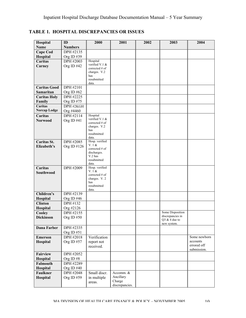**TABLE 1. HOSPITAL DISCREPANCIES OR ISSUES**

| Hospital            | ID             | 2000                             | 2001           | 2002 | 2003                                 | 2004                    |
|---------------------|----------------|----------------------------------|----------------|------|--------------------------------------|-------------------------|
| Name                | <b>Numbers</b> |                                  |                |      |                                      |                         |
| <b>Cape Cod</b>     | DPH #2135      |                                  |                |      |                                      |                         |
| Hospital            | Org ID #39     |                                  |                |      |                                      |                         |
| Caritas             | DPH #2003      | Hospital                         |                |      |                                      |                         |
| Carney              | Org ID $#42$   | verified V.1 &<br>corrected # of |                |      |                                      |                         |
|                     |                | charges. V.2                     |                |      |                                      |                         |
|                     |                | has                              |                |      |                                      |                         |
|                     |                | resubmitted                      |                |      |                                      |                         |
| <b>Caritas Good</b> | DPH #2101      | data.                            |                |      |                                      |                         |
| Samaritan           | Org ID $#62$   |                                  |                |      |                                      |                         |
| <b>Caritas Holy</b> | DPH #2225      |                                  |                |      |                                      |                         |
| Family              | Org ID #75     |                                  |                |      |                                      |                         |
| Caritas             | DPH #2KGH      |                                  |                |      |                                      |                         |
| <b>Norcap Lodge</b> | Org #4460      |                                  |                |      |                                      |                         |
| Caritas             | DPH #2114      | Hospital                         |                |      |                                      |                         |
| <b>Norwood</b>      | Org ID $#41$   | verified V.1 &                   |                |      |                                      |                         |
|                     |                | corrected # of                   |                |      |                                      |                         |
|                     |                | charges. V.2<br>has              |                |      |                                      |                         |
|                     |                | resubmitted                      |                |      |                                      |                         |
|                     |                | data.                            |                |      |                                      |                         |
| Caritas St.         | DPH #2085      | Hosp. verified                   |                |      |                                      |                         |
| Elizabeth's         | Org ID #126    | V. 1 &<br>corrected # of         |                |      |                                      |                         |
|                     |                | discharges.                      |                |      |                                      |                         |
|                     |                | V.2 has                          |                |      |                                      |                         |
|                     |                | resubmitted<br>data.             |                |      |                                      |                         |
| Caritas             | DPH #2009      | Hosp. verified                   |                |      |                                      |                         |
| Southwood           |                | V. 1 &                           |                |      |                                      |                         |
|                     |                | corrected # of                   |                |      |                                      |                         |
|                     |                | charges. V. 2<br>has             |                |      |                                      |                         |
|                     |                | resubmitted                      |                |      |                                      |                         |
|                     |                | data.                            |                |      |                                      |                         |
| Children's          | DPH #2139      |                                  |                |      |                                      |                         |
| Hospital            | Org ID $#46$   |                                  |                |      |                                      |                         |
| <b>Clinton</b>      | DPH #132       |                                  |                |      |                                      |                         |
| Hospital            | Org #2126      |                                  |                |      |                                      |                         |
| Cooley              | DPH #2155      |                                  |                |      | Some Disposition<br>discrepancies in |                         |
| <b>Dickinson</b>    | Org ID $#50$   |                                  |                |      | Q3 $&$ 4 due to                      |                         |
|                     |                |                                  |                |      | new system.                          |                         |
| <b>Dana Farber</b>  | DPH #2335      |                                  |                |      |                                      |                         |
|                     | Org ID#51      |                                  |                |      |                                      |                         |
| <b>Emerson</b>      | DPH #2018      | Verification                     |                |      |                                      | Some newborn            |
| Hospital            | Org ID $#57$   | report not                       |                |      |                                      | accounts<br>errored off |
|                     |                | received.                        |                |      |                                      | submission.             |
| <b>Fairview</b>     | DPH #2052      |                                  |                |      |                                      |                         |
| Hospital            | Org ID#8       |                                  |                |      |                                      |                         |
| Falmouth            | DPH #2289      |                                  |                |      |                                      |                         |
| Hospital            | Org ID $#40$   |                                  |                |      |                                      |                         |
| <b>Faulkner</b>     | DPH #2048      | Small discr.                     | Accomm. &      |      |                                      |                         |
| Hospital            | Org ID#59      | in multiple                      | Ancillary      |      |                                      |                         |
|                     |                | areas.                           | Charge         |      |                                      |                         |
|                     |                |                                  | discrepancies. |      |                                      |                         |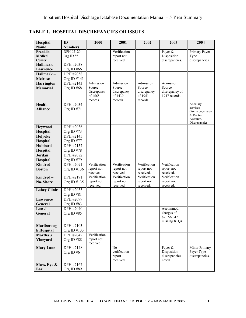| Hospital            | ID               | 2000                    | 2001                    | 2002                    | 2003                            | 2004                           |
|---------------------|------------------|-------------------------|-------------------------|-------------------------|---------------------------------|--------------------------------|
| <b>Name</b>         | <b>Numbers</b>   |                         |                         |                         |                                 |                                |
| Franklin            | <b>DPH #2120</b> |                         | Verification            |                         | Payer &                         | Primary Payer                  |
| <b>Medical</b>      | Org ID#5         |                         | report not              |                         | Disposition                     | Type                           |
| Center              |                  |                         | received.               |                         | discrepancies.                  | discrepancies.                 |
| Hallmark-           | DPH #2038        |                         |                         |                         |                                 |                                |
| Lawrence            | Org ID $#66$     |                         |                         |                         |                                 |                                |
| Hallmark-           | <b>DPH #2058</b> |                         |                         |                         |                                 |                                |
| <b>Melrose</b>      | Org ID #141      |                         |                         |                         |                                 |                                |
| <b>Harrington</b>   | DPH #2143        | Admission               | Admission               | Admission               | Admission                       |                                |
| <b>Memorial</b>     | Org ID#68        | Source                  | Source                  | Source<br>discrepancy   | Source                          |                                |
|                     |                  | discrepancy<br>of 1565  | discrepancy<br>of 1439  | of 1951                 | discrepancy of<br>1947 records. |                                |
|                     |                  | records.                | records.                | records.                |                                 |                                |
| Health              | DPH #2034        |                         |                         |                         |                                 | Ancillary                      |
| <b>Alliance</b>     | Org ID #71       |                         |                         |                         |                                 | services                       |
|                     |                  |                         |                         |                         |                                 | discharge, charge<br>& Routine |
|                     |                  |                         |                         |                         |                                 | Accomm.                        |
|                     |                  |                         |                         |                         |                                 | Discrepancies.                 |
| <b>Heywood</b>      | DPH #2036        |                         |                         |                         |                                 |                                |
| Hospital            | Org ID $#73$     |                         |                         |                         |                                 |                                |
| Holyoke             | DPH #2145        |                         |                         |                         |                                 |                                |
| Hospital            | Org ID #77       |                         |                         |                         |                                 |                                |
| <b>Hubbard</b>      | DPH #2157        |                         |                         |                         |                                 |                                |
| Hospital            | Org ID $#78$     |                         |                         |                         |                                 |                                |
| Jordan              | DPH #2082        |                         |                         |                         |                                 |                                |
| Hospital            | Org ID #79       |                         |                         |                         |                                 |                                |
| Kindred-            | DPH #2091        | Verification            | Verification            | Verification            | Verification                    |                                |
| <b>Boston</b>       | Org ID #136      | report not<br>received. | report not<br>received. | report not<br>received. | report not<br>received.         |                                |
| $Kindred -$         | DPH #2171        | Verification            | Verification            | Verification            | Verification                    |                                |
| No. Shore           | Org ID #135      | report not              | report not              | report not              | report not                      |                                |
|                     |                  | received.               | received.               | received.               | received.                       |                                |
| <b>Lahey Clinic</b> | DPH #2033        |                         |                         |                         |                                 |                                |
|                     | Org ID #81       |                         |                         |                         |                                 |                                |
| Lawrence            | DPH #2099        |                         |                         |                         |                                 |                                |
| General             | Org ID $#83$     |                         |                         |                         |                                 |                                |
| Lowell              | DPH #2040        |                         |                         |                         | Accommod.                       |                                |
| General             | Org ID $#85$     |                         |                         |                         | charges of                      |                                |
|                     |                  |                         |                         |                         | \$7,156,647.<br>missing fr. Q4. |                                |
| Marlboroug          | DPH #2103        |                         |                         |                         |                                 |                                |
| h Hospital          | Org ID #133      |                         |                         |                         |                                 |                                |
| Martha's            | DPH #2042        | Verification            |                         |                         |                                 |                                |
| <b>Vineyard</b>     | Org ID#88        | report not              |                         |                         |                                 |                                |
|                     |                  | received.               |                         |                         |                                 |                                |
| <b>Mary Lane</b>    | DPH #2148        |                         | N <sub>0</sub>          |                         | Payer &                         | Minor Primary                  |
|                     | Org ID $#6$      |                         | verification<br>report  |                         | Disposition<br>discrepancies    | Payer Type<br>discrepancies.   |
|                     |                  |                         | received.               |                         | noted.                          |                                |
| Mass. Eye &         | DPH #2167        |                         |                         |                         |                                 |                                |
| Ear                 | Org ID#89        |                         |                         |                         |                                 |                                |
|                     |                  |                         |                         |                         |                                 |                                |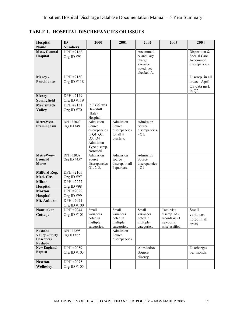| Hospital                | ID             | 2000                    | 2001                      | 2002                     | 2003                       | 2004            |
|-------------------------|----------------|-------------------------|---------------------------|--------------------------|----------------------------|-----------------|
| <b>Name</b>             | <b>Numbers</b> |                         |                           |                          |                            |                 |
| <b>Mass. General</b>    | DPH #2168      |                         |                           | Accommod.                |                            | Disposition &   |
| Hospital                | Org ID#91      |                         |                           | & ancillary              |                            | Special Care    |
|                         |                |                         |                           | charge                   |                            | Accommod.       |
|                         |                |                         |                           | variance                 |                            | discrepancies.  |
|                         |                |                         |                           | noted, yet<br>checked A. |                            |                 |
| Mercy-                  | DPH #2150      |                         |                           |                          |                            | Discrep. in all |
| Providence              | Org ID #118    |                         |                           |                          |                            | areas - April   |
|                         |                |                         |                           |                          |                            | Q3 data incl.   |
|                         |                |                         |                           |                          |                            | in Q2.          |
| Mercy-                  | DPH #2149      |                         |                           |                          |                            |                 |
| Springfield             | Org ID #119    |                         |                           |                          |                            |                 |
| <b>Merrimack</b>        | DPH #2131      | In FY02 was             |                           |                          |                            |                 |
| <b>Valley</b>           | Org ID #70     | Haverhill               |                           |                          |                            |                 |
|                         |                | (Hale)                  |                           |                          |                            |                 |
|                         |                | Hospital                |                           |                          |                            |                 |
| MetroWest-              | DPH #2020      | Admission<br>Source     | Admission<br>Source       | Admission<br>Source      |                            |                 |
| Framingham              | Org ID #49     | discrepancies           | discrepancies             | discrepancies            |                            |                 |
|                         |                | in Q1, Q2,              | for all 4                 | $-Q1$ .                  |                            |                 |
|                         |                | Q3. Q4                  | quarters.                 |                          |                            |                 |
|                         |                | Admission               |                           |                          |                            |                 |
|                         |                | Type discrep.           |                           |                          |                            |                 |
|                         |                | corrected.              |                           |                          |                            |                 |
| MetroWest-              | DPH #2039      | Admission               | Admission                 | Admission                |                            |                 |
| Leonard<br><b>Morse</b> | Org ID #457    | Source<br>discrepancies | source<br>discrep. in all | Source<br>discrepancies  |                            |                 |
|                         |                | Q1, 2, 3.               | 4 quarters.               | $-Q1$                    |                            |                 |
| <b>Milford Reg.</b>     | DPH #2105      |                         |                           |                          |                            |                 |
| Med. Ctr.               | Org ID #97     |                         |                           |                          |                            |                 |
| <b>Milton</b>           | DPH #2227      |                         |                           |                          |                            |                 |
| Hospital                | Org ID#98      |                         |                           |                          |                            |                 |
| <b>Morton</b>           | DPH #2022      |                         |                           |                          |                            |                 |
| Hospital                | Org ID#99      |                         |                           |                          |                            |                 |
| Mt. Auburn              | DPH #2071      |                         |                           |                          |                            |                 |
|                         | Org ID $\#100$ |                         |                           |                          |                            |                 |
| Nantucket               | DPH #2044      | Small                   | Small                     | Small                    | Total visit                | Small           |
| Cottage                 | Org ID #101    | variances               | variances                 | variances                | discrep. of 2              | variances       |
|                         |                | noted in                | noted in                  | noted in                 | records & 21               | noted in all    |
|                         |                | multiple<br>categories. | multiple<br>categories.   | multiple<br>categories.  | newborns<br>misclassified. | areas.          |
| <b>Nashoba</b>          | DPH #2298      |                         | Admission                 |                          |                            |                 |
| Valley – fmrly          | Org ID#52      |                         | Source                    |                          |                            |                 |
| <b>Deaconess</b>        |                |                         | discrepancies.            |                          |                            |                 |
| Nashoba                 |                |                         |                           |                          |                            |                 |
| <b>New England</b>      | DPH #2059      |                         |                           | Admission                |                            | Discharges      |
| <b>Baptist</b>          | Org ID #103    |                         |                           | Source                   |                            | per month.      |
|                         |                |                         |                           | discrep.                 |                            |                 |
| Newton-                 | DPH #2075      |                         |                           |                          |                            |                 |
| Wellesley               | Org ID #105    |                         |                           |                          |                            |                 |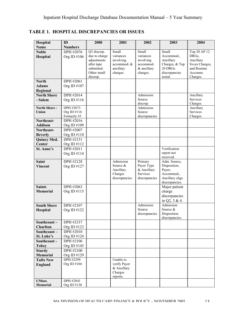| Hospital                            | ID                                      | 2000                                                                                | 2001                                                              | 2002                                                              | 2003                                                                                     | 2004                                                                       |
|-------------------------------------|-----------------------------------------|-------------------------------------------------------------------------------------|-------------------------------------------------------------------|-------------------------------------------------------------------|------------------------------------------------------------------------------------------|----------------------------------------------------------------------------|
| <b>Name</b>                         | <b>Numbers</b>                          |                                                                                     |                                                                   |                                                                   |                                                                                          |                                                                            |
| <b>Noble</b>                        | <b>DPH</b> #2076                        | Q3 discrep.                                                                         | Small                                                             | Small                                                             | Small                                                                                    | Top 20 AP 12                                                               |
| Hospital                            | Org ID #106                             | due to charge<br>adjustments<br>after tape<br>submitted.<br>Other small<br>discrep. | variances<br>involving<br>accommod. &<br>ancillary<br>charges.    | variances<br>involving<br>accommod.<br>& ancillary<br>charges.    | Accommod.,<br>Ancillary<br>Charges, & Top<br>20 DRGs<br>discrepancies<br>noted.          | DRGs,<br>Ancillary<br>Svces Charges,<br>and Routine<br>Accomm.<br>Charges. |
| <b>North</b>                        | <b>DPH #2061</b>                        |                                                                                     |                                                                   |                                                                   |                                                                                          |                                                                            |
| <b>Adams</b><br>Regional            | Org ID #107                             |                                                                                     |                                                                   |                                                                   |                                                                                          |                                                                            |
| <b>North Shore</b>                  | DPH #2014                               |                                                                                     |                                                                   | Admission                                                         |                                                                                          | Ancillary                                                                  |
| - Salem                             | Org ID #116                             |                                                                                     |                                                                   | Source<br>discrep.                                                |                                                                                          | Services<br>Charges.                                                       |
| North Shore -<br>Union              | DPH #2073<br>Org ID #116<br>Formerly #3 |                                                                                     |                                                                   | Admission<br>Source<br>discrepancies                              |                                                                                          | Ancillary<br>Services<br>Charges.                                          |
| Northeast-                          | DPH #2016                               |                                                                                     |                                                                   |                                                                   |                                                                                          |                                                                            |
| <b>Addison</b>                      | Org ID #109                             |                                                                                     |                                                                   |                                                                   |                                                                                          |                                                                            |
| Northeast-                          | DPH #2007                               |                                                                                     |                                                                   |                                                                   |                                                                                          |                                                                            |
| <b>Beverly</b>                      | Org ID $\#110$                          |                                                                                     |                                                                   |                                                                   |                                                                                          |                                                                            |
| <b>Quincy Med.</b>                  | DPH #2151                               |                                                                                     |                                                                   |                                                                   |                                                                                          |                                                                            |
| Center                              | Org ID $\#112$                          |                                                                                     |                                                                   |                                                                   |                                                                                          |                                                                            |
| St. Anne's                          | DPH #2011<br>Org ID #114                |                                                                                     |                                                                   |                                                                   | Verification<br>report not<br>received.                                                  |                                                                            |
| <b>Saint</b><br><b>Vincent</b>      | DPH #2128<br>Org ID #127                |                                                                                     | Admission<br>Source $&$<br>Ancillary<br>Charges<br>discrepancies. | Primary<br>Payer Type<br>& Ancillary<br>Services<br>discrepancies | Adm. Source,<br>Disposition,<br>Payer,<br>Accommod.,<br>Ancillary chgs<br>discrepancies. |                                                                            |
| <b>Saints</b><br><b>Memorial</b>    | DPH #2063<br>Org ID $\#115$             |                                                                                     |                                                                   |                                                                   | Major patient<br>charge<br>discrepancies<br>in Q2, 3 & 4.                                |                                                                            |
| <b>South Shore</b><br>Hospital      | DPH #2107<br>Org ID #122                |                                                                                     |                                                                   | Admission<br>Source<br>discrepancies                              | Admission<br>Source &<br>Disposition<br>discrepancies.                                   |                                                                            |
| Southcoast-                         | DPH #2337                               |                                                                                     |                                                                   |                                                                   |                                                                                          |                                                                            |
| <b>Charlton</b>                     | Org ID #123                             |                                                                                     |                                                                   |                                                                   |                                                                                          |                                                                            |
| Southcoast-                         | DPH #2010                               |                                                                                     |                                                                   |                                                                   |                                                                                          |                                                                            |
| St. Luke's                          | Org ID #124                             |                                                                                     |                                                                   |                                                                   |                                                                                          |                                                                            |
| Southcoast-                         | DPH #2106                               |                                                                                     |                                                                   |                                                                   |                                                                                          |                                                                            |
| <b>Tobey</b>                        | Org ID #145                             |                                                                                     |                                                                   |                                                                   |                                                                                          |                                                                            |
| <b>Sturdy</b>                       | <b>DPH#2100</b>                         |                                                                                     |                                                                   |                                                                   |                                                                                          |                                                                            |
| <b>Memorial</b><br><b>Tufts New</b> | Org ID #129<br><b>DPH #2299</b>         |                                                                                     | Unable to                                                         |                                                                   |                                                                                          |                                                                            |
| <b>England</b>                      | Org ID #104                             |                                                                                     | verify Payer<br>& Ancillary<br>Charges<br>reports.                |                                                                   |                                                                                          |                                                                            |
| <b>UMass.</b><br><b>Memorial</b>    | DPH #2841<br>Org ID #130                |                                                                                     |                                                                   |                                                                   |                                                                                          |                                                                            |

**TABLE 1. HOSPITAL DISCREPANCIES OR ISSUES**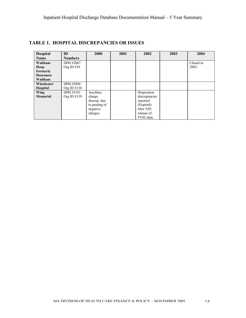| Hospital         | ID             | 2000          | 2001 | 2002          | 2003 | 2004      |
|------------------|----------------|---------------|------|---------------|------|-----------|
| <b>Name</b>      | <b>Numbers</b> |               |      |               |      |           |
| Waltham          | DPH #2067      |               |      |               |      | Closed in |
| Hosp.            | Org ID#54      |               |      |               |      | 2003.     |
| Formerly         |                |               |      |               |      |           |
| <b>Deaconess</b> |                |               |      |               |      |           |
| Waltham          |                |               |      |               |      |           |
| Winchester       | DPH #2094      |               |      |               |      |           |
| <b>Hospital</b>  | Org ID $\#138$ |               |      |               |      |           |
| Wing             | DPH #2181      | Ancillary     |      | Disposition   |      |           |
| <b>Memorial</b>  | Org ID $\#139$ | charge        |      | discrepancies |      |           |
|                  |                | discrep. due  |      | reported      |      |           |
|                  |                | to posting of |      | (Expired)     |      |           |
|                  |                | negative      |      | after $5/03$  |      |           |
|                  |                | charges.      |      | release of    |      |           |
|                  |                |               |      | FY02 data.    |      |           |

## **TABLE 1. HOSPITAL DISCREPANCIES OR ISSUES**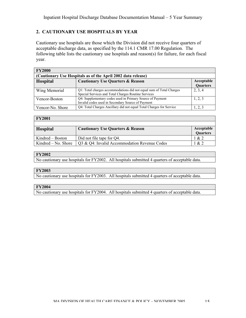## **2. CAUTIONARY USE HOSPITALS BY YEAR**

Cautionary use hospitals are those which the Division did not receive four quarters of acceptable discharge data, as specified by the 114.1 CMR 17.00 Regulation. The following table lists the cautionary use hospitals and reason(s) for failure, for each fiscal year.

| <b>FY2000</b>                                                |                                                                     |            |  |  |  |  |  |  |  |  |
|--------------------------------------------------------------|---------------------------------------------------------------------|------------|--|--|--|--|--|--|--|--|
| (Cautionary Use Hospitals as of the April 2002 data release) |                                                                     |            |  |  |  |  |  |  |  |  |
| <b>Hospital</b>                                              | <b>Cautionary Use Quarters &amp; Reason</b>                         | Acceptable |  |  |  |  |  |  |  |  |
|                                                              |                                                                     | Quarters   |  |  |  |  |  |  |  |  |
| Wing Memorial                                                | Q1: Total charges accommodations did not equal sum of Total Charges | 2, 3, 4    |  |  |  |  |  |  |  |  |
|                                                              | Special Services and Total Charges Routine Services                 |            |  |  |  |  |  |  |  |  |
| Vencor-Boston                                                | Q4: Supplementary codes used in Primary Source of Payment           | 1, 2, 3    |  |  |  |  |  |  |  |  |
|                                                              | Invalid codes used in Secondary Source of Payment                   |            |  |  |  |  |  |  |  |  |
| Vencor-No. Shore                                             | Q4: Total Charges Ancillary did not equal Total Charges for Service | 1, 2, 3    |  |  |  |  |  |  |  |  |

#### **FY2001**

| <b>Hospital</b>     | <b>Cautionary Use Quarters &amp; Reason</b>  | Acceptable      |
|---------------------|----------------------------------------------|-----------------|
|                     |                                              | <b>Quarters</b> |
| Kindred – Boston    | Did not file tape for Q4.                    | 1 & 2           |
| Kindred – No. Shore | Q3 & Q4: Invalid Accommodation Revenue Codes | 1 & 2           |

#### **FY2002**

No cautionary use hospitals for FY2002. All hospitals submitted 4 quarters of acceptable data.

#### **FY2003**

No cautionary use hospitals for FY2003. All hospitals submitted 4 quarters of acceptable data.

#### **FY2004**

No cautionary use hospitals for FY2004. All hospitals submitted 4 quarters of acceptable data.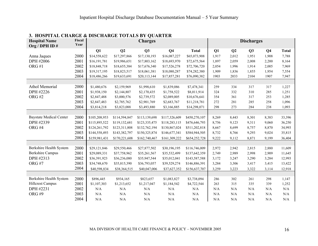| <b>Hospital Name</b><br>Org / DPH ID# | Fiscal<br>Year |               |               | <b>Charges</b> |                |               |       |                | <b>Discharges</b> |                |              |
|---------------------------------------|----------------|---------------|---------------|----------------|----------------|---------------|-------|----------------|-------------------|----------------|--------------|
|                                       |                | Q1            | Q2            | Q3             | Q <sub>4</sub> | <b>Total</b>  | Q1    | Q <sub>2</sub> | Q3                | Q <sub>4</sub> | <b>Total</b> |
| Anna Jaques                           | 2000           | \$14,558,622  | \$17,297,866  | \$17,130,193   | \$16,087,227   | \$65,073,908  | 1,917 | 2,012          | 1,951             | 1,908          | 7,788        |
| DPH #2006                             | 2001           | \$16,191,781  | \$19,986,651  | \$17,803,162   | \$18,693,970   | \$72,675,564  | 1,897 | 2,059          | 2,008             | 2,200          | 8,164        |
| ORG#1                                 | 2002           | \$18,848,718  | \$18,655,384  | \$17,676,340   | \$17,526,278   | \$72,706,720  | 2,054 | 1,996          | 1,914             | 2,005          | 7,969        |
|                                       | 2003           | \$19,317,195  | \$18,823,517  | \$18,061,381   | \$18,080,287   | \$74,282,380  | 1,909 | 1,836          | 1,855             | 1,954          | 7,554        |
|                                       | 2004           | \$18,486,266  | \$19,633,691  | \$20,113,144   | \$17,857,281   | \$76,090,382  | 1903  | 2033           | 2104              | 1907           | 7,947        |
|                                       |                |               |               |                |                |               |       |                |                   |                |              |
| <b>Athol Memorial</b>                 | 2000           | \$1,480,676   | \$2,159,969   | \$1,998,610    | \$1,839,086    | \$7,478,341   | 259   | 334            | 317               | 317            | 1,227        |
| DPH #2226                             | 2001           | \$1,938,150   | \$2,144,807   | \$2,170,435    | \$1,758,522    | \$8,011,914   | 324   | 332            | 310               | 285            | 1,251        |
| ORG#2                                 | 2002           | \$2,847,488   | \$3,000,576   | \$2,739,572    | \$2,089,005    | \$10,676,641  | 354   | 361            | 317               | 253            | 1,285        |
|                                       | 2003           | \$2,847,483   | \$2,785,762   | \$2,901,769    | \$2,683,767    | \$11,218,781  | 272   | 281            | 285               | 258            | 1,096        |
|                                       | 2004           | \$3,814,218   | \$3,823,088   | \$3,493,880    | \$3,166,885    | \$14,298,071  | 298   | 273            | 284               | 238            | 1,093        |
|                                       |                |               |               |                |                |               |       |                |                   |                |              |
| <b>Baystate Medical Center</b>        | 2000           | \$105,208,953 | \$114,594,847 | \$113,139,698  | \$117,326,609  | \$450,270,107 | 8,269 | 8,443          | 8,301             | 8,383          | 33,396       |
| DPH #2339                             | 2001           | \$115,895,522 | \$119,132,681 | \$123,335,475  | \$118,283,115  | \$476,646,793 | 8,756 | 9,123          | 9,311             | 9,060          | 36,250       |
| ORG#4                                 | 2002           | \$124,261,792 | \$123,311,808 | \$132,762,194  | \$130,867,024  | \$511,202,818 | 8,667 | 8,699          | 8,757             | 8,870          | 34,993       |
|                                       | 2003           | \$144,558,493 | \$143,382,797 | \$150,325,874  | \$146,677,341  | \$584,944,505 | 8,732 | 8,766          | 9,293             | 9,024          | 35,815       |
|                                       | 2004           | \$159,981,431 | \$170,221,608 | \$162,740,467  | \$161,309,222  | \$654,252,728 | 9,222 | 9,112          | 8,871             | 9,199          | 36,404       |
|                                       |                |               |               |                |                |               |       |                |                   |                |              |
| Berkshire Health System               | 2000           | \$29,121,846  | \$29,550,466  | \$27,877,502   | \$30,196,195   | \$116,746,009 | 2,972 | 2,942          | 2,815             | 2,880          | 11,609       |
| <b>Berkshire Campus</b>               | 2001           | \$29,089,331  | \$37,758,962  | \$35,261,567   | \$35,532,499   | \$137,642,359 | 2,749 | 2,989          | 2,998             | 2,909          | 11,645       |
| DPH #2313                             | 2002           | \$36,391,923  | \$36,236,080  | \$35,947,544   | \$35,012,041   | \$143,587,588 | 3,172 | 3,247          | 3,290             | 3,284          | 12,993       |
| ORG#7                                 | 2003           | \$34,748,670  | \$35,815,390  | \$36,793,057   | \$39,529,274   | \$146,886,391 | 3,284 | 3,306          | 3,417             | 3,415          | 13,422       |
|                                       | 2004           | \$40,598,834  | \$38,364,515  | \$40,047,006   | \$37,627,352   | \$156,637,707 | 3,259 | 3,223          | 3,322             | 3,114          | 12,918       |
|                                       |                |               |               |                |                |               |       |                |                   |                |              |
| Berkshire Health System               | 2000           | \$896,445     | \$934,165     | \$823,657      | \$1,083,827    | \$3,738,094   | 286   | 302            | 261               | 298            | 1,147        |
| <b>Hillcrest Campus</b>               | 2001           | \$1,107,303   | \$1,213,652   | \$1,217,047    | \$1,184,542    | \$4,722,544   | 263   | 315            | 335               | 339            | 1,252        |
| DPH #2231                             | 2002           | N/A           | N/A           | $\rm N/A$      | N/A            | N/A           | N/A   | N/A            | N/A               | N/A            | N/A          |
| ORG#9                                 | 2003           | N/A           | $\rm N/A$     | $\rm N/A$      | N/A            | N/A           | N/A   | N/A            | N/A               | N/A            | N/A          |
|                                       | 2004           | N/A           | N/A           | N/A            | N/A            | N/A           | N/A   | N/A            | N/A               | N/A            | N/A          |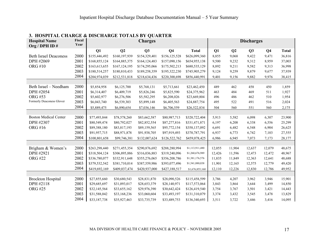| <b>Hospital Name</b><br>Org / DPH ID # | Fiscal<br>Year |               |               | <b>Charges</b> |                |                 |        |                | <b>Discharges</b> |                |              |
|----------------------------------------|----------------|---------------|---------------|----------------|----------------|-----------------|--------|----------------|-------------------|----------------|--------------|
|                                        |                | Q1            | Q2            | Q3             | Q <sub>4</sub> | <b>Total</b>    | Q1     | Q <sub>2</sub> | Q <sub>3</sub>    | Q <sub>4</sub> | <b>Total</b> |
| <b>Beth Israel Deaconess</b>           | 2000           | \$155,446,492 | \$160,197,939 | \$154,329,401  | \$156,125,528  | \$626,099,360   | 8,855  | 9,068          | 9,422             | 9,471          | 36,816       |
| DPH #2069                              | 2001           | \$168,855,124 | \$164,885,375 | \$164,124,483  | \$157,090,156  | \$654,955,138   | 9,500  | 9,232          | 9,312             | 8,959          | 37,003       |
| <b>ORG#10</b>                          | 2002           | \$163,613,655 | \$167,124,195 | \$174,295,066  | \$175,502,213  | \$680,535,129   | 8,892  | 9,211          | 9,582             | 9,313          | 36,998       |
|                                        | 2003           | \$180,514,257 | \$180,810,433 | \$189,258,359  | \$195,322,230  | \$745,905,279   | 9,124  | 9,259          | 9,879             | 9,677          | 37,939       |
|                                        | 2004           | \$204,974,039 | \$212,531,818 | \$218,634,436  | \$220,300,698  | \$856,440,991   | 9,401  | 9,156          | 9,882             | 9,976          | 38,415       |
|                                        |                |               |               |                |                |                 |        |                |                   |                |              |
| Beth Israel - Needham                  | 2000           | \$5,854,958   | \$6,125,700   | \$5,768,131    | \$5,713,661    | \$23,462,450    | 489    | 462            | 458               | 450            | 1,859        |
| DPH #2054                              | 2001           | \$6,314,407   | \$6,409,719   | \$5,826,246    | \$5,825,590    | \$24,375,962    | 463    | 484            | 469               | 511            | 1,927        |
| <b>ORG #53</b>                         | 2002           | \$5,602,977   | \$6,276,506   | \$5,582,295    | \$6,208,026    | \$23,669,804    | 496    | 486            | 462               | 510            | 1,954        |
| Formerly Deaconess Glover              | 2003           | \$6,043,740   | \$6,539,303   | \$5,899,148    | \$6,405,563    | \$24,887,754    | 495    | 522            | 491               | 516            | 2,024        |
|                                        | 2004           | \$5,889,475   | \$6,890,654   | \$7,036,146    | \$6,706,559    | \$26,522,834    | 504    | 560            | 551               | 560            | 2,175        |
|                                        |                |               |               |                |                |                 |        |                |                   |                |              |
| <b>Boston Medical Center</b>           | 2000           | \$77,493,844  | \$78,578,260  | \$83,662,587   | \$80,987,713   | \$320,722,404   | 5,913  | 5,582          | 6,098             | 6,307          | 23,900       |
| DPH #2307                              | 2001           | \$80,549,474  | \$80,792,027  | \$82,852,554   | \$87,277,816   | \$331,471,871   | 6,197  | 6,208          | 6,338             | 6,556          | 25,299       |
| <b>ORG #16</b>                         | 2002           | \$89,388,180  | \$83,817,193  | \$89,159,565   | \$95,772,154   | \$358,137,092   | 6,691  | 6,482          | 6,548             | 6,904          | 26,625       |
|                                        | 2003           | \$91,957,715  | \$88,971,878  | \$91,938,705   | \$97,919,493   | \$370,787,791   | 6,937  | 6,773          | 6,742             | 7,103          | 27,555       |
|                                        | 2004           | \$100,801,658 | \$99,746,381  | \$132,007,624  | \$126,522,762  | \$459,078,425   | 6,986  | 6,945          | 7,073             | 7,173          | 28,177       |
|                                        |                |               |               |                |                |                 |        |                |                   |                |              |
| Brigham & Women's                      | 2000           | \$263,298,440 | \$271,455,354 | \$290,876,692  | \$288,280,994  | \$1,113,911,480 | 12,055 | 11,904         | 12,637            | 12,079         | 48,675       |
| DPH #2921                              | 2001           | \$318,504,124 | \$306,895,886 | \$316,036,883  | \$319,240,096  | \$1,260,676,989 | 12,426 | 11,596         | 12,473            | 12,472         | 48,967       |
| <b>ORG #22</b>                         | 2002           | \$336,780,077 | \$332,911,648 | \$355,276,065  | \$356,208,786  | \$1,381,176,576 | 11,835 | 11,849         | 12,363            | 12,641         | 48,688       |
|                                        | 2003           | \$379,532,542 | \$381,710,014 | \$387,559,986  | \$393,077,496  | \$1,541,880,038 | 11,901 | 12,165         | 12,575            | 12,779         | 49,420       |
|                                        | 2004           | \$419,692,169 | \$409,037,474 | \$420,937,000  | \$427,188,517  | \$1,676,855,160 | 12,110 | 12,226         | 12,830            | 12,786         | 49,952       |
|                                        |                |               |               |                |                |                 |        |                |                   |                |              |
| <b>Brockton Hospital</b>               | 2000           | \$27,855,660  | \$30,680,543  | \$28,831,870   | \$28,090,526   | \$115,458,599   | 3,786  | 4,207          | 3,962             | 3,946          | 15,901       |
| DPH #2118                              | 2001           | \$29,685,697  | \$31,093,017  | \$28,653,379   | \$28,140,971   | \$117,573,064   | 3,843  | 3,864          | 3,644             | 3,499          | 14,850       |
| <b>ORG #25</b>                         | 2002           | \$32,145,564  | \$33,655,162  | \$29,976,390   | \$30,642,424   | \$126,419,540   | 3,754  | 3,767          | 3,501             | 3,421          | 14,443       |
|                                        | 2003           | \$31,588,042  | \$33,168,236  | \$33,060,604   | \$33,493,197   | \$131,310,079   | 3,374  | 3,432          | 3,545             | 3,478          | 13,829       |
|                                        | 2004           | \$33,187,738  | \$35,927,463  | \$33,735,739   | \$33,489,753   | \$136,340,693   | 3,511  | 3,722          | 3,446             | 3,416          | 14,095       |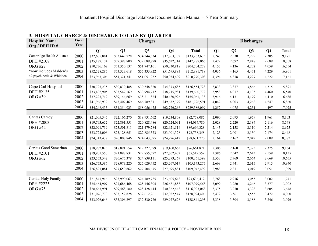| <b>Hospital Name</b><br>Org / DPH ID# | Fiscal<br>Year |              | <b>Discharges</b><br><b>Charges</b> |              |                |               |       |                |       |                |              |
|---------------------------------------|----------------|--------------|-------------------------------------|--------------|----------------|---------------|-------|----------------|-------|----------------|--------------|
|                                       |                | Q1           | Q2                                  | Q3           | Q <sub>4</sub> | <b>Total</b>  | Q1    | Q <sub>2</sub> | Q3    | Q <sub>4</sub> | <b>Total</b> |
| Cambridge Health Alliance             | 2000           | \$32,605,881 | \$33,649,728                        | \$34,244,334 | \$32,763,732   | \$133,263,675 | 2,248 | 2,330          | 2,292 | 2,305          | 9,175        |
| DPH #2108                             | 2001           | \$35,177,174 | \$37,397,800                        | \$39,089,778 | \$35,622,314   | \$147,287,066 | 2,479 | 2,692          | 2,848 | 2,689          | 10,708       |
| <b>ORG #27</b>                        | 2002           | \$50,776,162 | \$51,350,137                        | \$51,747,161 | \$50,830,818   | \$204,704,278 | 4,157 | 4,136          | 4,202 | 4,059          | 16,554       |
| *now includes Malden's                | 2003           | \$52,528,285 | \$53,323,618                        | \$55,333,922 | \$51,695,893   | \$212,881,718 | 4,036 | 4,165          | 4,471 | 4,229          | 16,901       |
| 42 psych beds & Whidden               | 2004           | \$53,963,306 | \$54,321,341                        | \$51,051,252 | \$50,934,409   | \$210,270,308 | 4,394 | 4,318          | 4,227 | 4,222          | 17,161       |
|                                       |                |              |                                     |              |                |               |       |                |       |                |              |
| Cape Cod Hospital                     | 2000           | \$30,793,235 | \$30,839,488                        | \$30,548,320 | \$34,373,685   | \$126,554,728 | 3,833 | 3,877          | 3,866 | 4,315          | 15,891       |
| DPH #2135                             | 2001           | \$33,402,905 | \$33,547,169                        | \$33,994,717 | \$38,715,981   | \$139,660,772 | 3,958 | 4,017          | 4,105 | 4,460          | 16,540       |
| <b>ORG#39</b>                         | 2002           | \$37,223,719 | \$39,144,669                        | \$38,211,824 | \$40,480,926   | \$155,061,138 | 3,916 | 4,131          | 4,179 | 4,410          | 16,636       |
|                                       | 2003           | \$41,966,932 | \$43,407,469                        | \$46,789,811 | \$49,632,379   | \$181,796,591 | 4,042 | 4,003          | 4,268 | 4,547          | 16,860       |
|                                       | 2004           | \$54,248,435 | \$54,354,923                        | \$58,056,475 | \$62,726,266   | \$229,386,099 | 4,252 | 4,075          | 4,251 | 4,497          | 17,075       |
|                                       |                |              |                                     |              |                |               |       |                |       |                |              |
| Caritas Carney                        | 2000           | \$21,005,345 | \$22,106,270                        | \$19,931,662 | \$19,734,808   | \$82,778,085  | 2,090 | 2,093          | 1,959 | 1,961          | 8,103        |
| DPH #2003                             | 2001           | \$19,793,652 | \$22,891,551                        | \$20,828,486 | \$20,524,091   | \$84,037,780  | 2,028 | 2,220          | 2,184 | 2,116          | 8,548        |
| <b>ORG #42</b>                        | 2002           | \$22,091,719 | \$23,501,811                        | \$21,479,284 | \$22,621,514   | \$89,694,328  | 2,143 | 2,158          | 2,110 | 2,214          | 8,625        |
|                                       | 2003           | \$23,723,006 | \$23,128,651                        | \$22,885,373 | \$23,001,328   | \$92,738,358  | 2,123 | 2,001          | 2,150 | 2,174          | 8,448        |
|                                       | 2004           | \$24,343,437 | \$26,008,846                        | \$24,043,075 | \$24,276,412   | \$98,671,770  | 2,164 | 2,167          | 2,042 | 2,009          | 8,382        |
|                                       |                |              |                                     |              |                |               |       |                |       |                |              |
| Caritas Good Samaritan                | 2000           | \$18,982,025 | \$18,891,554                        | \$19,327,579 | \$19,460,663   | \$76,661,821  | 2,306 | 2,160          | 2,323 | 2,375          | 9,164        |
| DPH #2101                             | 2001           | \$19,901,550 | \$21,898,831                        | \$22,855,577 | \$22,762,432   | \$65,519,559  | 2,386 | 2,547          | 2,643 | 2,559          | 10,135       |
| <b>ORG #62</b>                        | 2002           | \$23,553,542 | \$26,675,378                        | \$24,839,111 | \$25,293,367   | \$100,361,398 | 2,553 | 2,769          | 2,664 | 2,669          | 10,655       |
|                                       | 2003           | \$26,773,586 | \$28,073,220                        | \$25,029,452 | \$25,267,017   | \$105,143,275 | 2,669 | 2,741          | 2,615 | 2,915          | 10,940       |
|                                       | 2004           | \$26,891,081 | \$27,650,862                        | \$27,704,675 | \$27,695,881   | \$109,942,499 | 2,988 | 2,871          | 3,019 | 3,051          | 11,929       |
|                                       |                |              |                                     |              |                |               |       |                |       |                |              |
| Caritas Holy Family                   | 2000           | \$21,841,916 | \$23,999,063                        | \$24,189,785 | \$23,605,648   | \$93,636,412  | 2,768 | 2,916          | 3,055 | 3,002          | 11,741       |
| DPH #2225                             | 2001           | \$25,464,907 | \$27,686,468                        | \$28,146,305 | \$26,681,888   | \$107,979,568 | 3,099 | 3,280          | 3,246 | 3,377          | 13,002       |
| <b>ORG #75</b>                        | 2002           | \$28,663,991 | \$29,468,180                        | \$28,428,444 | \$30,362,448   | \$116,923,063 | 3,375 | 3,270          | 3,398 | 3,605          | 13,648       |
|                                       | 2003           | \$31,076,770 | \$33,152,828                        | \$32,612,261 | \$32,082,547   | \$128,924,406 | 3,472 | 3,561          | 3,555 | 3,472          | 14,060       |
|                                       | 2004           | \$33,026,646 | \$33,306,297                        | \$32,530,726 | \$29,977,626   | \$128,841,295 | 3,338 | 3,304          | 3,188 | 3,246          | 13,076       |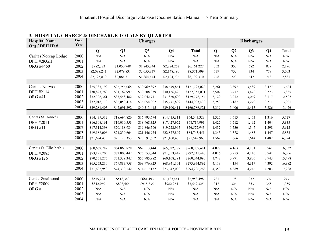| <b>Hospital Name</b><br>Org / DPH ID # | Fiscal<br>Year |              |                | <b>Charges</b> |                |               |           |                | <b>Discharges</b> |                |              |
|----------------------------------------|----------------|--------------|----------------|----------------|----------------|---------------|-----------|----------------|-------------------|----------------|--------------|
|                                        |                | Q1           | Q <sub>2</sub> | Q3             | Q <sub>4</sub> | <b>Total</b>  | Q1        | Q <sub>2</sub> | Q3                | Q <sub>4</sub> | <b>Total</b> |
| Caritas Norcap Lodge                   | 2000           | N/A          | N/A            | N/A            | N/A            | N/A           | N/A       | N/A            | N/A               | N/A            | $\rm N/A$    |
| DPH #2KGH                              | 2001           | $\rm N/A$    | $\rm N/A$      | N/A            | N/A            | N/A           | N/A       | N/A            | N/A               | N/A            | N/A          |
| ORG #4460                              | 2002           | \$982,383    | \$1,050,748    | \$1,843,844    | \$2,284,252    | \$6,161,227   | 332       | 353            | 682               | 829            | 2,196        |
|                                        | 2003           | \$2,088,241  | \$2,079,831    | \$2,055,337    | \$2,148,190    | \$8,371,599   | 739       | 752            | 734               | 778            | 3,003        |
|                                        | 2004           | \$2,125,819  | \$2,084,311    | \$1,864,444    | \$2,124,736    | \$8,199,310   | 748       | 723            | 647               | 713            | 2,831        |
|                                        |                |              |                |                |                |               |           |                |                   |                |              |
| Caritas Norwood                        | 2000           | \$25,387,199 | \$26,756,065   | \$30,969,897   | \$38,679,861   | \$121,793,022 | 3,261     | 3,397          | 3,489             | 3,477          | 13,624       |
| DPH #2114                              | 2001           | \$30,823,769 | \$31,167,997   | \$30,208,839   | \$30,156,426   | \$122,357,031 | 3,507     | 3,477          | 3,478             | 3,373          | 13,835       |
| <b>ORG #41</b>                         | 2002           | \$32,326,361 | \$33,548,482   | \$32,042,711   | \$31,860,600   | \$129,778,154 | 3,129     | 3,212          | 3,049             | 3,117          | 12,507       |
|                                        | 2003           | \$37,018,170 | \$36,059,414   | \$36,054,007   | \$35,771,839   | \$144,903,430 | 3,253     | 3,187          | 3,270             | 3,311          | 13,021       |
|                                        | 2004           | \$39,281,403 | \$42,091,292   | \$40,313,415   | \$39,100,411   | \$160,786,521 | 3,319     | 3,406          | 3,415             | 3,286          | 13,426       |
|                                        |                |              |                |                |                |               |           |                |                   |                |              |
| Caritas St. Anne's                     | 2000           | \$14,439,512 | \$18,694,826   | \$16,993,674   | \$14,415,311   | \$64,543,323  | 1,325     | 1,613          | 1,473             | 1,316          | 5,727        |
| DPH #2011                              | 2001           | \$16,308,161 | \$16,010,553   | \$18,968,325   | \$17,427,952   | \$68,714,991  | 1,427     | 1,512          | 1,492             | 1,404          | 5,835        |
| ORG #114                               | 2002           | \$17,314,398 | \$20,188,984   | \$19,846,596   | \$19,222,965   | \$76,572,943  | 1,437     | 1,530          | 1,347             | 1,298          | 5,612        |
|                                        | 2003           | \$19,188,006 | \$21,230,664   | \$21,446,974   | \$22,877,807   | \$84,743,451  | 1,343     | 1,578          | 1,485             | 1,447          | 5,853        |
|                                        | 2004           | \$21,674,473 | \$25,123,353   | \$23,591,652   | \$21,160,485   | \$91,549,963  | 1,562     | 1,666          | 1,614             | 1,482          | 6,324        |
|                                        |                |              |                |                |                |               |           |                |                   |                |              |
| Caritas St. Elizabeth's                | 2000           | \$60,667,782 | \$64,863,878   | \$69,513,444   | \$65,022,377   | \$260,067,481 | 4,027     | 4,163          | 4,181             | 3,961          | 16,332       |
| DPH #2085                              | 2001           | \$73,125,705 | \$72,008,442   | \$75,553,844   | \$71,853,449   | \$292,541,440 | 4,016     | 3,953          | 4,146             | 3,941          | 16,056       |
| ORG #126                               | 2002           | \$70,551,275 | \$71,339,342   | \$57,985,982   | \$60,168,391   | \$260,044,990 | 3,748     | 3,971          | 3,836             | 3,943          | 15,498       |
|                                        | 2003           | \$65,273,210 | \$69,883,758   | \$69,976,823   | \$68,841,101   | \$273,974,892 | 4,119     | 4,154          | 4,317             | 4,392          | 16,982       |
|                                        | 2004           | \$71,602,959 | \$74,339,142   | \$74,617,132   | \$73,647,030   | \$294,206,263 | 4,350     | 4,389          | 4,246             | 4,303          | 17,288       |
|                                        |                |              |                |                |                |               |           |                |                   |                |              |
| Caritas Southwood                      | 2000           | \$575,224    | \$518,340      | \$681,493      | \$1,183,441    | \$2,958,498   | 231       | 178            | 237               | 307            | 953          |
| DPH #2009                              | 2001           | \$842,060    | \$808,466      | \$915,835      | \$982,964      | \$3,549,325   | 317       | 324            | 353               | 365            | 1,359        |
| ORG#                                   | 2002           | N/A          | N/A            | $\rm N/A$      | N/A            | N/A           | N/A       | N/A            | N/A               | N/A            | N/A          |
|                                        | 2003           | N/A          | $\rm N/A$      | $\rm N/A$      | N/A            | N/A           | $\rm N/A$ | N/A            | N/A               | N/A            | N/A          |
|                                        | 2004           | N/A          | N/A            | N/A            | N/A            | N/A           | N/A       | N/A            | N/A               | N/A            | N/A          |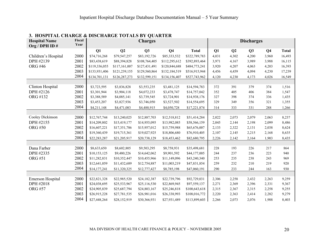| <b>Hospital Name</b><br>Org / DPH ID# | Fiscal<br>Year |               |               | <b>Charges</b> |                |               |       |       | <b>Discharges</b> |                |              |
|---------------------------------------|----------------|---------------|---------------|----------------|----------------|---------------|-------|-------|-------------------|----------------|--------------|
|                                       |                | Q1            | Q2            | Q <sub>3</sub> | Q <sub>4</sub> | <b>Total</b>  | Q1    | Q2    | Q <sub>3</sub>    | Q <sub>4</sub> | <b>Total</b> |
| Children's Hospital                   | 2000           | \$74,716,268  | \$79,547,257  | \$83,192,726   | \$85,333,532   | \$322,789,783 | 4,031 | 4,302 | 4,200             | 3,960          | 16,493       |
| DPH #2139                             | 2001           | \$83,438,619  | \$88,394,828  | \$108,764,405  | \$112,295,612  | \$392,893,464 | 3,971 | 4,167 | 3,989             | 3,988          | 16,115       |
| <b>ORG #46</b>                        | 2002           | \$119,336,055 | \$117,161,007 | \$127,431,491  | \$120,844,688  | \$484,773,241 | 3,920 | 4,207 | 4,063             | 4,203          | 16,393       |
|                                       | 2003           | \$133,931,406 | \$121,239,155 | \$129,560,864  | \$132,184,519  | \$516,915,944 | 4,456 | 4,459 | 4,094             | 4,230          | 17,239       |
|                                       | 2004           | \$134,701,131 | \$126,287,273 | \$132,599,151  | \$134,156,407  | \$527,743,962 | 4,120 | 4,230 | 4,173             | 4,026          | 16,549       |
|                                       |                |               |               |                |                |               |       |       |                   |                |              |
| Clinton Hospital                      | 2000           | \$3,723,595   | \$3,836,828   | \$3,553,235    | \$3,481,125    | \$14,594,783  | 372   | 391   | 379               | 374            | 1,516        |
| DPH #2126                             | 2001           | \$3,301,944   | \$3,904,118   | \$4,072,233    | \$3,478,747    | \$14,757,042  | 352   | 405   | 406               | 384            | 1,547        |
| ORG #132                              | 2002           | \$3,388,589   | \$4,085,141   | \$3,739,545    | \$3,724,901    | \$14,938,176  | 327   | 398   | 374               | 336            | 1,435        |
|                                       | 2003           | \$3,453,207   | \$3,827,936   | \$3,746,050    | \$3,527,502    | \$14,554,695  | 329   | 349   | 356               | 321            | 1,355        |
|                                       | 2004           | \$4,211,148   | \$4,471,083   | \$4,488,915    | \$4,050,728    | \$17,221,874  | 314   | 333   | 331               | 288            | 1,266        |
|                                       |                |               |               |                |                |               |       |       |                   |                |              |
| Cooley Dickinson                      | 2000           | \$12,767,744  | \$13,240,025  | \$12,887,703   | \$12,518,812   | \$51,414,284  | 2,022 | 2,073 | 2,079             | 2,063          | 8,237        |
| DPH #2155                             | 2001           | \$14,209,802  | \$15,419,177  | \$14,955,095   | \$13,982,085   | \$58,566,159  | 2,045 | 2,144 | 2,198             | 2,099          | 8,486        |
| <b>ORG #50</b>                        | 2002           | \$16,607,221  | \$17,351,786  | \$15,957,012   | \$15,759,988   | \$65,676,007  | 2,133 | 2,322 | 2,131             | 2,038          | 8,624        |
|                                       | 2003           | \$19,360,439  | \$19,715,361  | \$19,027,925   | \$18,806,680   | \$76,910,405  | 2,107 | 2,145 | 2,215             | 2,168          | 8,635        |
|                                       | 2004           | \$22,283,287  | \$21,205,917  | \$20,738,129   | \$18,453,462   | \$82,680,795  | 2,226 | 2,142 | 2,164             | 1,903          | 8,435        |
|                                       |                |               |               |                |                |               |       |       |                   |                |              |
| Dana Farber                           | 2000           | \$8,633,650   | \$8,602,805   | \$9,503,295    | \$8,758,931    | \$35,498,681  | 228   | 193   | 226               | 217            | 864          |
| DPH #2335                             | 2001           | \$10,153,125  | \$9,480,226   | \$14,642,062   | \$9,901,592    | \$44,177,005  | 244   | 237   | 236               | 223            | 940          |
| <b>ORG #51</b>                        | 2002           | \$11,282,831  | \$10,352,447  | \$10,455,966   | \$11,149,096   | \$43,240,340  | 253   | 235   | 238               | 243            | 969          |
|                                       | 2003           | \$12,641,059  | \$11,432,689  | \$12,754,887   | \$11,003,219   | \$47,831,854  | 259   | 232   | 210               | 219            | 920          |
|                                       | 2004           | \$14,177,241  | \$11,320,325  | \$12,777,427   | \$8,785,198    | \$47,060,191  | 290   | 233   | 244               | 163            | 930          |
|                                       |                |               |               |                |                |               |       |       |                   |                |              |
| Emerson Hospital                      | 2000           | \$22,821,328  | \$22,985,520  | \$24,182,387   | \$22,739,796   | \$92,729,031  | 2,306 | 2,258 | 2,432             | 2,263          | 9,259        |
| DPH #2018                             | 2001           | \$24,038,695  | \$25,533,967  | \$25,116,530   | \$22,869,945   | \$97,559,137  | 2,271 | 2,369 | 2,396             | 2,331          | 9,367        |
| <b>ORG #57</b>                        | 2002           | \$24,905,839  | \$25,687,794  | \$24,803,167   | \$25,246,818   | \$100,643,618 | 2,315 | 2,367 | 2,315             | 2,258          | 9,255        |
|                                       | 2003           | \$26,915,228  | \$27,781,535  | \$26,981,016   | \$26,338,993   | \$108,016,772 | 2,220 | 2,363 | 2,414             | 2,282          | 9,279        |
|                                       | 2004           | \$27,448,264  | \$28,152,919  | \$30,366,931   | \$27,931,489   | \$113,899,603 | 2,266 | 2,073 | 2,076             | 1,988          | 8,403        |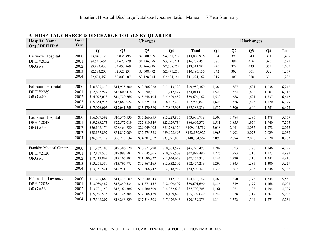| <b>Hospital Name</b><br>Org / DPH ID# | Fiscal<br>Year |              |              | <b>Charges</b> |                |               |       |                | <b>Discharges</b> |                |              |
|---------------------------------------|----------------|--------------|--------------|----------------|----------------|---------------|-------|----------------|-------------------|----------------|--------------|
|                                       |                | Q1           | Q2           | Q3             | Q <sub>4</sub> | <b>Total</b>  | Q1    | Q <sub>2</sub> | Q3                | Q <sub>4</sub> | <b>Total</b> |
| Fairview Hospital                     | 2000           | \$3,040,135  | \$3,036,495  | \$2,900,509    | \$4,031,787    | \$13,008,926  | 354   | 391            | 343               | 381            | 1,469        |
| DPH #2052                             | 2001           | \$4,545,654  | \$4,627,279  | \$4,336,298    | \$3,270,221    | \$16,779,452  | 386   | 394            | 416               | 395            | 1,591        |
| ORG#8                                 | 2002           | \$3,883,433  | \$3,453,269  | \$3,266,818    | \$2,708,262    | \$13,311,782  | 420   | 378            | 433               | 374            | 1,605        |
|                                       | 2003           | \$2,584,203  | \$2,527,231  | \$2,608,472    | \$2,475,250    | \$10,195,156  | 342   | 302            | 301               | 322            | 1,267        |
|                                       | 2004           | \$2,604,467  | \$2,803,607  | \$3,128,944    | \$2,684,144    | \$11,221,162  | 319   | 307            | 350               | 306            | 1,282        |
|                                       |                |              |              |                |                |               |       |                |                   |                |              |
| Falmouth Hospital                     | 2000           | \$10,895,413 | \$11,935,300 | \$13,506,328   | \$13,613,328   | \$49,950,369  | 1,386 | 1,587          | 1,631             | 1,638          | 6,242        |
| DPH #2289                             | 2001           | \$12,807,927 | \$13,800,416 | \$13,690,811   | \$13,712,477   | \$54,011,631  | 1,523 | 1,554          | 1,628             | 1,607          | 6,312        |
| <b>ORG #40</b>                        | 2002           | \$14,077,033 | \$14,729,566 | \$15,258,104   | \$15,629,459   | \$59,694,162  | 1,530 | 1,688          | 1,691             | 1,737          | 6,646        |
|                                       | 2003           | \$15,654,915 | \$15,883,022 | \$14,875,654   | \$16,487,230   | \$62,900,821  | 1,628 | 1,556          | 1,445             | 1,770          | 6,399        |
|                                       | 2004           | \$17,026,003 | \$17,041,758 | \$15,470,580   | \$17,847,995   | \$67,386,336  | 1,532 | 1,590          | 1,600             | 1,751          | 6,473        |
|                                       |                |              |              |                |                |               |       |                |                   |                |              |
| Faulkner Hospital                     | 2000           | \$16,607,392 | \$16,576,536 | \$15,266,955   | \$15,229,835   | \$63,680,718  | 1,500 | 1,484          | 1,395             | 1,378          | 5,757        |
| DPH #2048                             | 2001           | \$19,283,273 | \$22,572,019 | \$22,810,349   | \$22,029,734   | \$86,695,375  | 1,511 | 1,855          | 1,959             | 1,940          | 7,265        |
| <b>ORG #59</b>                        | 2002           | \$26,168,170 | \$28,464,820 | \$29,049,605   | \$25,783,124   | \$109,465,719 | 2,018 | 2,041          | 2,035             | 1,978          | 8,072        |
|                                       | 2003           | \$28,137,897 | \$31,817,909 | \$32,275,523   | \$29,928,593   | \$122,159,922 | 1,965 | 1,993          | 2,075             | 2,029          | 8,062        |
|                                       | 2004           | \$36,597,177 | \$36,213,534 | \$34,202,012   | \$33,871,839   | \$140,884,562 | 2,093 | 2,074          | 2,096             | 2,020          | 8,283        |
|                                       |                |              |              |                |                |               |       |                |                   |                |              |
| Franklin Medical Center               | 2000           | \$11,262,180 | \$12,386,520 | \$10,877,270   | \$10,703,527   | \$45,229,497  | 1,282 | 1,323          | 1,178             | 1,146          | 4,929        |
| DPH #2120                             | 2001           | \$12,177,536 | \$12,998,581 | \$12,045,865   | \$10,775,508   | \$47,997,490  | 1,226 | 1,273          | 1,310             | 1,173          | 4,982        |
| ORG#5                                 | 2002           | \$12,219,862 | \$12,107,981 | \$11,680,822   | \$11,144,658   | \$47,153,323  | 1,144 | 1,220          | 1,210             | 1,242          | 4,816        |
|                                       | 2003           | \$13,278,580 | \$13,795,972 | \$12,567,165   | \$12,832,502   | \$52,474,219  | 1,299 | 1,345          | 1,285             | 1,300          | 5,229        |
|                                       | 2004           | \$13,351,521 | \$14,971,111 | \$13,266,742   | \$12,918,949   | \$54,508,323  | 1,338 | 1,367          | 1,235             | 1,248          | 5,188        |
|                                       |                |              |              |                |                |               |       |                |                   |                |              |
| Hallmark - Lawrence                   | 2000           | \$11,265,688 | \$11,418,109 | \$10,640,043   | \$11,112,302   | \$44,436,142  | 1,463 | 1,370          | 1,373             | 1,344          | 5,550        |
| DPH #2038                             | 2001           | \$13,080,489 | \$13,240,535 | \$11,871,157   | \$12,409,509   | \$50,601,690  | 1,336 | 1,319          | 1,179             | 1,168          | 5,002        |
| <b>ORG #66</b>                        | 2002           | \$13,701,150 | \$15,166,386 | \$14,780,509   | \$14,052,663   | \$57,700,708  | 1,161 | 1,251          | 1,183             | 1,194          | 4,789        |
|                                       | 2003           | \$15,986,515 | \$16,125,304 | \$17,008,179   | \$16,189,622   | \$65,309,620  | 1,242 | 1,238          | 1,319             | 1,263          | 5,062        |
|                                       | 2004           | \$17,308,207 | \$18,256,629 | \$17,514,593   | \$17,079,946   | \$70,159,375  | 1,314 | 1,372          | 1,304             | 1,271          | 5,261        |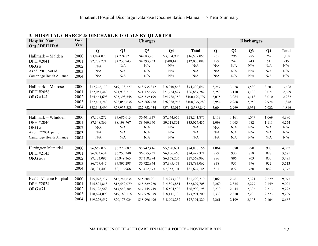| <b>Hospital Name</b><br>Org / DPH ID# | Fiscal<br>Year |              |              | <b>Charges</b> |                |               |       |                | <b>Discharges</b> |                |              |
|---------------------------------------|----------------|--------------|--------------|----------------|----------------|---------------|-------|----------------|-------------------|----------------|--------------|
|                                       |                | Q1           | Q2           | Q3             | Q <sub>4</sub> | <b>Total</b>  | Q1    | Q <sub>2</sub> | Q <sub>3</sub>    | Q <sub>4</sub> | <b>Total</b> |
| Hallmark - Malden                     | 2000           | \$3,874,073  | \$4,724,821  | \$4,083,261    | \$3,894,903    | \$16,577,058  | 265   | 296            | 285               | 262            | 1,108        |
| DPH #2041                             | 2001           | \$2,738,771  | \$4,237,943  | \$4,393,233    | \$700,141      | \$12,070,088  | 199   | 242            | 243               | 51             | 735          |
| ORG#                                  | 2002           | N/A          | N/A          | N/A            | N/A            | N/A           | N/A   | N/A            | N/A               | $\rm N/A$      | N/A          |
| As of FY01, part of                   | 2003           | N/A          | N/A          | N/A            | N/A            | N/A           | N/A   | N/A            | N/A               | N/A            | N/A          |
| Cambridge Health Alliance             | 2004           | N/A          | N/A          | N/A            | N/A            | N/A           | N/A   | N/A            | N/A               | N/A            | N/A          |
|                                       |                |              |              |                |                |               |       |                |                   |                |              |
| Hallmark - Melrose                    | 2000           | \$17,246,130 | \$19,138,277 | \$18,935,372   | \$18,910,868   | \$74,230,647  | 3,247 | 3,428          | 3,530             | 3,203          | 13,408       |
| DPH #2058                             | 2001           | \$22,051,443 | \$21,938,217 | \$21,172,795   | \$21,724,827   | \$86,887,282  | 3,250 | 3,110          | 3,198             | 3,071          | 12,629       |
| <b>ORG #141</b>                       | 2002           | \$24,464,698 | \$25,398,548 | \$25,539,199   | \$24,788,352   | \$100,190,797 | 3,075 | 3,084          | 3,118             | 3,010          | 12,287       |
|                                       | 2003           | \$27,467,243 | \$28,056,636 | \$25,866,438   | \$26,988,963   | \$108,379,280 | 2,954 | 2,968          | 2,952             | 2,974          | 11,848       |
|                                       | 2004           | \$28,145,490 | \$28,933,288 | \$27,852,054   | \$27,458,017   | \$112,388,849 | 3,004 | 2,969          | 2,951             | 2,922          | 11,846       |
|                                       |                |              |              |                |                |               |       |                |                   |                |              |
| Hallmark - Whidden                    | 2000           | \$7,109,272  | \$7,686,613  | \$6,401,337    | \$7,044,655    | \$28,241,877  | 1,113 | 1,161          | 1,047             | 1,069          | 4,390        |
| DPH #2046                             | 2001           | \$7,348,869  | \$8,198,767  | \$8,460,940    | \$9,018,861    | \$33,027,437  | 1,098 | 1,063          | 982               | 1,111          | 4,254        |
| ORG#                                  | 2002           | $\rm N/A$    | N/A          | N/A            | N/A            | N/A           | N/A   | N/A            | N/A               | N/A            | N/A          |
| As of FY2001, part of                 | 2003           | N/A          | N/A          | N/A            | N/A            | N/A           | N/A   | N/A            | N/A               | N/A            | N/A          |
| Cambridge Health Alliance             | 2004           | N/A          | N/A          | N/A            | N/A            | N/A           | N/A   | N/A            | N/A               | $\rm N/A$      | N/A          |
|                                       |                |              |              |                |                |               |       |                |                   |                |              |
| Harrington Memorial                   | 2000           | \$6,669,022  | \$6,728,087  | \$5,742,416    | \$5,690,631    | \$24,830,156  | 1,064 | 1,070          | 990               | 908            | 4,032        |
| DPH #2143                             | 2001           | \$6,083,634  | \$6,253,340  | \$6,055,937    | \$6,106,460    | \$24,499,371  | 899   | 930            | 858               | 888            | 3,575        |
| <b>ORG #68</b>                        | 2002           | \$7,133,097  | \$6,949,365  | \$7,318,294    | \$6,168,206    | \$27,568,962  | 886   | 896            | 903               | 800            | 3,485        |
|                                       | 2003           | \$6,777,447  | \$7,897,298  | \$6,722,844    | \$7,395,473    | \$28,793,062  | 838   | 957            | 796               | 922            | 3,513        |
|                                       | 2004           | \$8,191,403  | \$8,116,968  | \$7,412,673    | \$7,953,101    | \$31,674,145  | 861   | 872            | 780               | 862            | 3,375        |
|                                       |                |              |              |                |                |               |       |                |                   |                |              |
| Health Alliance Hospital              | 2000           | \$15,078,737 | \$16,244,634 | \$15,604,201   | \$14,273,138   | \$61,200,710  | 2,066 | 2,461          | 2,321             | 2,229          | 9,077        |
| DPH #2034                             | 2001           | \$15,821,818 | \$16,552,079 | \$15,629,960   | \$14,803,851   | \$62,807,708  | 2,260 | 2,335          | 2,277             | 2,149          | 9,021        |
| <b>ORG #71</b>                        | 2002           | \$15,796,563 | \$17,543,384 | \$17,145,749   | \$16,504,502   | \$66,990,198  | 2,230 | 2,444          | 2,306             | 2,313          | 9,293        |
|                                       | 2003           | \$18,624,099 | \$19,189,116 | \$17,976,679   | \$18,111,306   | \$73,901,200  | 2,330 | 2,350          | 2,206             | 2,323          | 9,209        |
|                                       | 2004           | \$19,226,557 | \$20,175,024 | \$18,996,496   | \$18,903,252   | \$77,301,329  | 2,261 | 2,199          | 2,103             | 2,104          | 8,667        |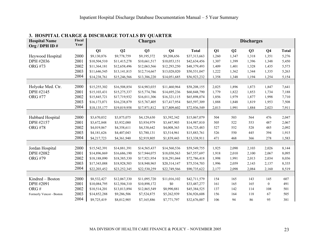| <b>Hospital Name</b><br>Org / DPH ID# | Fiscal<br>Year |              |              | <b>Charges</b> |                |              |       |                | <b>Discharges</b> |                |              |
|---------------------------------------|----------------|--------------|--------------|----------------|----------------|--------------|-------|----------------|-------------------|----------------|--------------|
|                                       |                | Q1           | Q2           | Q3             | Q <sub>4</sub> | <b>Total</b> | Q1    | Q <sub>2</sub> | Q3                | Q <sub>4</sub> | <b>Total</b> |
| Heywood Hospital                      | 2000           | \$9,130,876  | \$9,778,759  | \$9,195,372    | \$9,208,656    | \$37,313,663 | 1,260 | 1,347          | 1,318             | 1,351          | 5,276        |
| DPH #2036                             | 2001           | \$10,504,510 | \$11,415,278 | \$10,661,517   | \$10,053,151   | \$42,634,456 | 1,307 | 1,399          | 1,396             | 1,348          | 5,450        |
| <b>ORG #73</b>                        | 2002           | \$11,364,181 | \$12,658,496 | \$12,063,566   | \$12,293,250   | \$48,379,493 | 1,409 | 1,401          | 1,328             | 1,435          | 5,573        |
|                                       | 2003           | \$11,646,545 | \$13,141,815 | \$12,714,667   | \$13,028,020   | \$50,531,047 | 1,222 | 1,362          | 1,344             | 1,335          | 5,263        |
|                                       | 2004           | \$14,238,761 | \$15,246,566 | \$13,386,220   | \$14,051,685   | \$56,923,232 | 1,358 | 1,348          | 1,194             | 1,254          | 5,154        |
|                                       |                |              |              |                |                |              |       |                |                   |                |              |
| Holyoke Med. Ctr.                     | 2000           | \$15,255,302 | \$16,508,854 | \$14,983,035   | \$11,460,964   | \$58,208,155 | 2,025 | 1,896          | 1,873             | 1,847          | 7,641        |
| DPH #2145                             | 2001           | \$15,103,431 | \$15,275,337 | \$15,774,786   | \$14,695,236   | \$60,848,790 | 1,779 | 1,822          | 1,853             | 1,734          | 7,188        |
| <b>ORG #77</b>                        | 2002           | \$15,845,721 | \$17,719,932 | \$16,011,306   | \$16,321,115   | \$65,898,074 | 1,856 | 1,979          | 1,877             | 1,998          | 7,710        |
|                                       | 2003           | \$16,173,071 | \$16,238,879 | \$15,767,405   | \$17,417,954   | \$65,597,309 | 1,888 | 1,848          | 1,819             | 1,953          | 7,508        |
|                                       | 2004           | \$18,135,177 | \$19,019,958 | \$17,971,812   | \$17,809,602   | \$72,936,549 | 2,013 | 1,991          | 1,884             | 2,023          | 7,911        |
|                                       |                |              |              |                |                |              |       |                |                   |                |              |
| Hubbard Hospital                      | 2000           | \$3,670,032  | \$3,875,075  | \$4,129,630    | \$3,392,342    | \$15,067,079 | 504   | 503            | 564               | 476            | 2,047        |
| DPH #2157                             | 2001           | \$3,672,848  | \$3,932,080  | \$3,934,979    | \$3,447,903    | \$14,987,810 | 505   | 522            | 553               | 487            | 2,067        |
| <b>ORG #78</b>                        | 2002           | \$4,019,867  | \$4,358,611  | \$4,338,642    | \$4,008,363    | \$16,725,483 | 527   | 552            | 528               | 485            | 2,092        |
|                                       | 2003           | \$4,181,626  | \$4,407,043  | \$3,780,131    | \$3,514,961    | \$15,883,761 | 526   | 550            | 445               | 394            | 1,915        |
|                                       | 2004           | \$4,217,723  | \$4,361,940  | \$2,919,805    | \$1,839,443    | \$13,338,911 | 471   | 468            | 366               | 278            | 1,583        |
|                                       |                |              |              |                |                |              |       |                |                   |                |              |
| Jordan Hospital                       | 2000           | \$15,542,391 | \$14,881,391 | \$14,565,437   | \$14,560,536   | \$59,549,755 | 1,925 | 2,090          | 2,103             | 2,026          | 8,144        |
| DPH #2082                             | 2001           | \$14,896,869 | \$16,686,190 | \$17,944,075   | \$18,030,563   | \$67,557,697 | 1,918 | 2,010          | 2,100             | 2,067          | 8,095        |
| <b>ORG #79</b>                        | 2002           | \$18,188,090 | \$18,385,330 | \$17,921,954   | \$18,291,044   | \$72,786,418 | 1,998 | 1,991          | 2,013             | 2,034          | 8,036        |
|                                       | 2003           | \$17,343,088 | \$18,928,503 | \$18,948,965   | \$20,314,147   | \$75,534,703 | 1,996 | 2,059          | 2,143             | 2,137          | 8,335        |
|                                       | 2004           | \$22,203,452 | \$23,252,345 | \$22,530,259   | \$22,749,566   | \$90,735,622 | 2,177 | 2,098          | 2,084             | 2,160          | 8,519        |
|                                       |                |              |              |                |                |              |       |                |                   |                |              |
| Kindred - Boston                      | 2000           | \$8,532,427  | \$12,067,330 | \$11,095,720   | \$11,016,102   | \$42,711,579 | 154   | 165            | 143               | 145            | 607          |
| DPH #2091                             | 2001           | \$10,084,795 | \$12,504,310 | \$10,898,172   | \$0            | \$33,487,277 | 161   | 165            | 165               | $\overline{0}$ | 491          |
| ORG#                                  | 2002           | \$10,514,201 | \$13,013,894 | \$12,865,549   | \$8,990,881    | \$45,384,525 | 137   | 142            | 114               | 108            | 501          |
| Formerly Vencor - Boston              | 2003           | \$14,852,288 | \$9,286,506  | \$7,524,875    | \$5,262,939    | \$36,926,608 | 156   | 164            | 118               | 67             | 505          |
|                                       | 2004           | \$9,725,419  | \$8,012,905  | \$7,165,886    | \$7,771,797    | \$32,676,007 | 106   | 94             | 86                | 95             | 381          |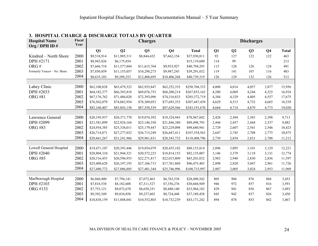| <b>Hospital Name</b><br>Org / DPH ID# | Fiscal<br>Year |              |              | <b>Charges</b> |                |               |       |       | <b>Discharges</b> |                |              |
|---------------------------------------|----------------|--------------|--------------|----------------|----------------|---------------|-------|-------|-------------------|----------------|--------------|
|                                       |                | Q1           | Q2           | Q3             | Q <sub>4</sub> | <b>Total</b>  | Q1    | Q2    | Q3                | Q <sub>4</sub> | <b>Total</b> |
| Kindred – North Shore                 | 2000           | \$9,518,914  | \$11,905,311 | \$8,844,432    | \$7,662,154    | \$37,930,811  | 92    | 127   | 122               | 122            | 463          |
| DPH #2171                             | 2001           | \$8,943,826  | \$6,175,854  |                |                | \$15,119,680  | 114   | 99    |                   |                | 213          |
| ORG#                                  | 2002           | \$7,666,718  | \$11,577,884 | \$11,615,764   | \$9,933,927    | \$40,794,293  | 113   | 128   | 126               | 124            | 491          |
| Formerly Vencor - No. Shore           | 2003           | \$7,850,459  | \$11,155,057 | \$10,298,273   | \$9,987,243    | \$39,291,032  | 119   | 141   | 107               | 116            | 483          |
|                                       | 2004           | \$8,635,103  | \$9,289,253  | \$12,408,695   | \$10,406,268   | \$40,739,319  | 126   | 129   | 132               | 126            | 513          |
|                                       |                |              |              |                |                |               |       |       |                   |                |              |
| Lahey Clinic                          | 2000           | \$62,100,828 | \$63,479,323 | \$62,935,847   | \$62,252,335   | \$250,768,333 | 4,008 | 4,014 | 4,057             | 3,877          | 15,956       |
| DPH #2033                             | 2001           | \$64,182,377 | \$66,393,818 | \$69,076,753   | \$68,200,214   | \$267,853,162 | 4,280 | 4,069 | 4,244             | 4,325          | 16,918       |
| <b>ORG #81</b>                        | 2002           | \$67,176,762 | \$71,486,028 | \$72,393,096   | \$74,316,833   | \$285,372,719 | 4,384 | 4,329 | 4,405             | 4,557          | 17,675       |
|                                       | 2003           | \$76,562,079 | \$74,882,954 | \$78,309,053   | \$77,693,353   | \$307,447,439 | 4,629 | 4,513 | 4,732             | 4,665          | 18,539       |
|                                       | 2004           | \$82,160,407 | \$85,843,158 | \$87,558,539   | \$87,629,566   | \$343,191,670 | 4,664 | 4,714 | 4,879             | 4,773          | 19,030       |
|                                       |                |              |              |                |                |               |       |       |                   |                |              |
| Lawrence General                      | 2000           | \$20,195,937 | \$20,371,770 | \$19,074,392   | \$19,324,943   | \$78,967,042  | 2,428 | 2,504 | 2,383             | 2,398          | 9,713        |
| DPH #2099                             | 2001           | \$21,581,899 | \$22,924,164 | \$23,146,350   | \$21,846,380   | \$89,498,793  | 2,444 | 2,457 | 2,444             | 2,537          | 9,882        |
| <b>ORG #83</b>                        | 2002           | \$24,934,385 | \$25,338,011 | \$25,179,447   | \$23,229,098   | \$98,680,941  | 2,729 | 2,607 | 2,541             | 2,546          | 10,423       |
|                                       | 2003           | \$26,714,871 | \$27,277,032 | \$26,715,249   | \$26,647,411   | \$107,354,563 | 2,647 | 2,745 | 2,708             | 2,775          | 10,875       |
|                                       | 2004           | \$28,661,267 | \$31,241,966 | \$29,961,831   | \$28,543,732   | \$118,408,796 | 2,739 | 2,854 | 2,831             | 2,788          | 11,212       |
|                                       |                |              |              |                |                |               |       |       |                   |                |              |
| Lowell General Hospital               | 2000           | \$19,471,107 | \$20,393,446 | \$19,854,079   | \$20,435,182   | \$80,153,814  | 2,896 | 3,095 | 3,101             | 3,129          | 12,221       |
| DPH #2040                             | 2001           | \$20,804,310 | \$21,944,321 | \$20,572,223   | \$18,814,153   | \$82,135,007  | 3,146 | 3,379 | 3,118             | 3,131          | 12,774       |
| <b>ORG #85</b>                        | 2002           | \$20,316,453 | \$20,596,953 | \$22,271,817   | \$22,015,809   | \$85,201,032  | 2,983 | 2,948 | 2,830             | 2,836          | 11,597       |
|                                       | 2003           | \$25,409,628 | \$26,197,193 | \$27,106,713   | \$17,761,869   | \$96,475,403  | 2,898 | 2,820 | 3,047             | 2,961          | 11,726       |
|                                       | 2004           | \$27,680,772 | \$27,886,885 | \$27,401,344   | \$25,746,996   | \$108,715,997 | 2,987 | 3,005 | 3,024             | 2,953          | 11,969       |
|                                       |                |              |              |                |                |               |       |       |                   |                |              |
| Marlborough Hospital                  | 2000           | \$6,860,400  | \$7,794,141  | \$7,072,463    | \$6,763,538    | \$28,490,542  | 805   | 904   | 876               | 868            | 3,453        |
| DPH #2103                             | 2001           | \$7,818,538  | \$8,182,608  | \$7,311,527    | \$7,356,276    | \$30,668,949  | 946   | 972   | 857               | 816            | 3,591        |
| ORG #133                              | 2002           | \$7,753,121  | \$9,072,670  | \$8,658,251    | \$8,480,140    | \$33,964,182  | 829   | 941   | 856               | 867            | 3,493        |
|                                       | 2003           | \$9,392,549  | \$9,834,858  | \$9,237,603    | \$8,724,448    | \$37,189,458  | 845   | 942   | 837               | 826            | 3,450        |
|                                       | 2004           | \$10,838,159 | \$11,048,041 | \$10,552,803   | \$10,732,239   | \$43,171,242  | 894   | 878   | 853               | 842            | 3,467        |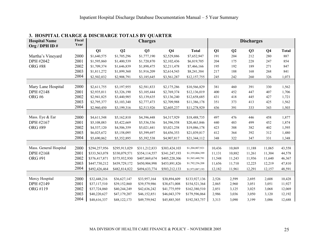| <b>Hospital Name</b><br>Org / DPH ID# | Fiscal<br>Year |               |               | <b>Charges</b> |                |                 |        |        | <b>Discharges</b> |                |              |
|---------------------------------------|----------------|---------------|---------------|----------------|----------------|-----------------|--------|--------|-------------------|----------------|--------------|
|                                       |                | Q1            | Q2            | Q3             | Q <sub>4</sub> | <b>Total</b>    | Q1     | Q2     | Q <sub>3</sub>    | Q <sub>4</sub> | <b>Total</b> |
| Martha's Vineyard                     | 2000           | \$1,640,575   | \$1,705,296   | \$1,777,190    | \$2,529,886    | \$7,652,947     | 191    | 204    | 212               | 280            | 887          |
| DPH #2042                             | 2001           | \$1,595,860   | \$1,400,539   | \$1,720,870    | \$2,102,436    | \$6,819,705     | 204    | 175    | 228               | 247            | 854          |
| <b>ORG #88</b>                        | 2002           | \$1,709,374   | \$1,646,839   | \$1,898,475    | \$2,211,478    | \$7,466,166     | 195    | 192    | 189               | 271            | 847          |
|                                       | 2003           | \$1,811,272   | \$1,899,360   | \$1,916,209    | \$2,614,543    | \$8,241,384     | 217    | 188    | 168               | 268            | 841          |
|                                       | 2004           | \$2,502,032   | \$2,908,791   | \$3,185,645    | \$3,561,287    | \$12,157,755    | 245    | 242    | 260               | 326            | 1,073        |
|                                       |                |               |               |                |                |                 |        |        |                   |                |              |
| Mary Lane Hospital                    | 2000           | \$2,611,755   | \$3,197,955   | \$2,581,833    | \$2,175,286    | \$10,566,829    | 381    | 460    | 391               | 330            | 1,562        |
| DPH #2148                             | 2001           | \$2,935,011   | \$3,326,190   | \$3,105,444    | \$2,769,374    | \$12,136,019    | 400    | 452    | 447               | 407            | 1,706        |
| ORG#6                                 | 2002           | \$2,941,825   | \$3,440,985   | \$3,139,635    | \$3,136,240    | \$12,658,685    | 431    | 418    | 445               | 427            | 1,721        |
|                                       | 2003           | \$2,795,377   | \$3,103,340   | \$2,777,473    | \$2,709,988    | \$11,386,178    | 351    | 373    | 413               | 425            | 1,562        |
|                                       | 2004           | \$2,960,450   | \$3,199,316   | \$2,513,926    | \$2,605,237    | \$11,278,929    | 436    | 391    | 333               | 343            | 1,503        |
|                                       |                |               |               |                |                |                 |        |        |                   |                |              |
| Mass. Eye & Ear                       | 2000           | \$4,611,548   | \$5,162,810   | \$4,396,448    | \$4,317,929    | \$18,488,735    | 497    | 476    | 446               | 458            | 1,877        |
| DPH #2167                             | 2001           | \$5,108,083   | \$5,422,669   | \$5,536,536    | \$4,396,558    | \$20,463,846    | 440    | 483    | 499               | 452            | 1,874        |
| <b>ORG #89</b>                        | 2002           | \$4,537,120   | \$4,506,359   | \$5,021,441    | \$5,021,258    | \$19,086,178    | 423    | 388    | 382               | 402            | 1,595        |
|                                       | 2003           | \$6,025,672   | \$5,158,095   | \$5,399,697    | \$4,456,353    | \$21,039,817    | 412    | 364    | 392               | 312            | 1,480        |
|                                       | 2004           | \$5,690,862   | \$5,352,895   | \$5,392,538    | \$4,907,817    | \$21,344,112    | 348    | 322    | 347               | 331            | 1,348        |
|                                       |                |               |               |                |                |                 |        |        |                   |                |              |
| Mass. General Hospital                | 2000           | \$294,257,956 | \$295,913,029 | \$311,212,833  | \$303,424,103  | \$1,204,807,921 | 10,436 | 10,869 | 11,188            | 11,065         | 43,558       |
| DPH #2168                             | 2001           | \$333,563,078 | \$330,079,571 | \$354,114,557  | \$341,247,193  | \$1,359,004,399 | 11,131 | 10,882 | 11,261            | 11,304         | 44,578       |
| <b>ORG #91</b>                        | 2002           | \$376,417,871 | \$375,932,930 | \$407,869,674  | \$405,220,306  | \$1,565,440,781 | 11,548 | 11,243 | 11,936            | 11,640         | 46,367       |
|                                       | 2003           | \$447,730,212 | \$439,729,172 | \$450,904,998  | \$453,891,826  | \$1,792,256,208 | 11,656 | 11,710 | 12,225            | 12,219         | 47,810       |
|                                       | 2004           | \$492,426,464 | \$482,814,822 | \$494,633,774  | \$503,212,133  | \$1,973,087,193 | 12,182 | 11,961 | 12,291            | 12,157         | 48,591       |
|                                       |                |               |               |                |                |                 |        |        |                   |                |              |
| Mercy Hospital                        | 2000           | \$32,448,216  | \$36,627,147  | \$33,957,164   | \$30,894,609   | \$133,927,136   | 2,526  | 2,599  | 2,695             | 2,608          | 10,428       |
| DPH #2149                             | 2001           | \$37,117,510  | \$39,152,860  | \$39,579,986   | \$38,671,008   | \$154,521,364   | 2,865  | 2,960  | 3,051             | 3,051          | 11,927       |
| ORG #119                              | 2002           | \$37,724,060  | \$40,244,249  | \$42,636,242   | \$41,775,959   | \$162,380,510   | 2,851  | 3,125  | 3,025             | 3,068          | 12,069       |
|                                       | 2003           | \$40,220,627  | \$47,179,207  | \$46,152,851   | \$46,043,379   | \$179,596,064   | 2,986  | 3,036  | 3,050             | 3,120          | 12,192       |
|                                       | 2004           | \$48,616,337  | \$48,122,173  | \$49,759,942   | \$45,885,305   | \$192,383,757   | 3,313  | 3,090  | 3,199             | 3,086          | 12,688       |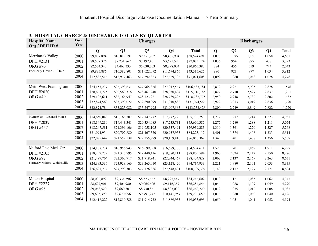| <b>Hospital Name</b><br>Org / DPH ID#           | Fiscal<br>Year |              |              | <b>Charges</b>             |                |                              |       |                | <b>Discharges</b> |                |              |
|-------------------------------------------------|----------------|--------------|--------------|----------------------------|----------------|------------------------------|-------|----------------|-------------------|----------------|--------------|
|                                                 |                | Q1           | Q2           | Q3                         | Q <sub>4</sub> | <b>Total</b>                 | Q1    | Q <sub>2</sub> | Q3                | Q <sub>4</sub> | <b>Total</b> |
| Merrimack Valley                                | 2000           | \$9,887,894  | \$10,819,191 | \$9,351,702                | \$8,465,904    | \$38,524,691                 | 1,078 | 1,375          | 1,150             | 1,058          | 4,661        |
| DPH #2131                                       | 2001           | \$8,537,326  | \$7,731,862  | \$7,192,401                | \$3,621,585    | \$27,083,174                 | 1,036 | 954            | 895               | 438            | 3,323        |
| <b>ORG #70</b>                                  | 2002           | \$2,574,343  | \$4,462,333  | \$5,630,703                | \$8,298,004    | \$20,965,383                 | 284   | 456            | 559               | 744            | 2,043        |
| Formerly Haverhill/Hale                         | 2003           | \$9,835,886  | \$10,382,801 | \$11,622,072               | \$11,674,866   | \$43,515,625                 | 880   | 921            | 977               | 1,034          | 3,812        |
|                                                 | 2004           | \$12,832,516 | \$12,977,463 | \$17,592,323               | \$27,669,306   | \$71,071,608                 | 1,092 | 1,060          | 1,048             | 1,078          | 4,278        |
|                                                 |                |              |              |                            |                |                              |       |                |                   |                |              |
| MetroWest-Framingham                            | 2000           | \$24,157,237 | \$26,393,631 | \$27,965,366               | \$27,917,547   | \$106,433,781                | 2,872 | 2,921          | 2,905             | 2,878          | 11,576       |
| DPH #2020                                       | 2001           | \$28,661,225 | \$30,563,316 | \$28,461,240               | \$28,030,404   | \$115,716,185                | 2,827 | 2,770          | 2,827             | 2,837          | 11,261       |
| <b>ORG #49</b>                                  | 2002           | \$29,102,611 | \$32,166,947 | \$28,723,921               | \$28,789,296   | \$118,782,775                | 2,950 | 2,948          | 2,732             | 2,802          | 11,432       |
|                                                 | 2003           | \$32,874,563 | \$33,399,022 | \$32,890,099               | \$31,910,882   | \$131,074,566                | 2,922 | 3,013          | 3,019             | 2,836          | 11,790       |
|                                                 | 2004           | \$32,874,784 | \$33,223,082 | \$33,247,995               | \$33,907,565   | \$133,253,426                | 2,800 | 2,749          | 2,849             | 2,822          | 11,220       |
|                                                 |                |              |              |                            |                |                              |       |                |                   |                |              |
| MetroWest - Leonard Morse                       | 2000           | \$14,650,048 | \$16,166,707 | \$17,147,772               | \$17,772,226   | \$65,736,753                 | 1,217 | 1,277          | 1,214             | 1,223          | 4,931        |
| DPH #2039                                       | 2001           | \$18,149,230 | \$19,443,341 | \$20,334,083               | \$17,733,731   | \$75,660,385                 | 1,275 | 1,280          | 1,288             | 1,211          | 5,054        |
| <b>ORG #457</b>                                 | 2002           | \$18,247,581 | \$21,396,106 | \$19,958,105               | \$20,337,491   | \$79,939,283                 | 1,310 | 1,361          | 1,270             | 1,327          | 5,268        |
|                                                 | 2003           | \$21,094,934 | \$20,702,880 | \$21,467,370               | \$20,957,933   | \$84,223,117                 | 1,401 | 1,374          | 1,406             | 1,333          | 5,514        |
|                                                 | 2004           | \$22,075,642 | \$21,559,138 | \$22,255,779               | \$20,159,810   | \$86,050,369                 | 1,343 | 1,401          | 1,408             | 1,356          | 5,508        |
|                                                 |                |              |              |                            |                |                              |       |                |                   |                |              |
| Milford Reg. Med. Ctr.                          | 2000           | \$14,188,774 | \$16,956,943 | \$16,699,508               | \$16,689,386   | \$64,534,611                 | 1,523 | 1,701          | 1,862             | 1,911          | 6,997        |
| DPH #2105                                       | 2001           | \$18,257,272 | \$21,327,795 | \$19,440,416               | \$19,780,111   | \$78,805,594                 | 1,960 | 2,024          | 2,142             | 2,150          | 8,276        |
| <b>ORG #97</b><br>Formerly Milford-Whitinsville | 2002<br>2003   | \$21,497,704 | \$22,363,717 | \$21,718,941               | \$22,844,467   | \$88,424,829                 | 2,062 | 2,137          | 2,169             | 2,263          | 8,631        |
|                                                 | 2004           | \$24,393,337 | \$23,928,166 | \$23,265,010               | \$23,128,420   | \$94,714,933                 | 2,221 | 1,980          | 2,101             | 2,033          | 8,335        |
|                                                 |                | \$26,691,274 | \$27,293,303 | \$27,176,386               | \$27,548,431   | \$108,709,394                | 2,149 | 2,157          | 2,127             | 2,171          | 8,604        |
| Milton Hospital                                 | 2000           | \$8,092,892  | \$9,334,596  |                            | \$8,295,447    |                              | 1,079 |                |                   | 1,062          | 4,347        |
| DPH #2227                                       | 2001           | \$8,697,901  | \$9,404,980  | \$8,523,667<br>\$9,065,606 | \$9,116,357    | \$34,246,602<br>\$36,284,844 | 1,044 | 1,121<br>1,088 | 1,085<br>1,109    | 1,049          | 4,290        |
| <b>ORG #98</b>                                  | 2002           | \$9,048,520  | \$9,680,307  | \$8,730,861                | \$8,803,032    | \$36,262,720                 | 1,012 | 1,055          | 1,012             | 1,008          | 4,087        |
|                                                 | 2003           | \$9,633,399  | \$9,670,056  | \$9,791,247                | \$10,141,957   | \$39,236,659                 | 1,016 | 1,080          | 1,060             | 1,040          | 4,196        |
|                                                 | 2004           | \$12,418,222 | \$12,810,788 | \$11,914,732               | \$11,889,953   | \$49,033,695                 | 1,050 | 1,051          | 1,041             | 1,052          | 4,194        |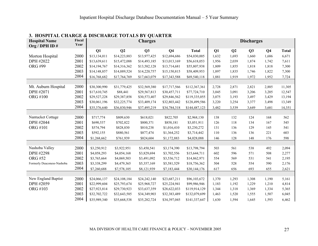| <b>Hospital Name</b><br>Org / DPH ID# | Fiscal<br>Year |              |              | <b>Charges</b> |                |               |       |                | <b>Discharges</b> |                |              |
|---------------------------------------|----------------|--------------|--------------|----------------|----------------|---------------|-------|----------------|-------------------|----------------|--------------|
|                                       |                | Q1           | Q2           | Q3             | Q <sub>4</sub> | <b>Total</b>  | Q1    | Q <sub>2</sub> | Q3                | Q <sub>4</sub> | <b>Total</b> |
| Morton Hospital                       | 2000           | \$13,134,011 | \$14,223,883 | \$13,977,425   | \$12,694,686   | \$54,030,005  | 1,632 | 1,693          | 1,660             | 1,686          | 6,671        |
| DPH #2022                             | 2001           | \$13,639,611 | \$15,472,088 | \$14,493,185   | \$13,013,169   | \$56,618,053  | 1,956 | 2,039          | 1,874             | 1,742          | 7,611        |
| <b>ORG #99</b>                        | 2002           | \$14,194,767 | \$14,316,362 | \$13,582,128   | \$13,714,681   | \$55,807,938  | 1,809 | 1,855          | 1,818             | 1,818          | 7,300        |
|                                       | 2003           | \$14,148,857 | \$14,889,524 | \$14,220,757   | \$15,150,815   | \$58,409,953  | 1,897 | 1,835          | 1,746             | 1,822          | 7,300        |
|                                       | 2004           | \$16,768,682 | \$17,764,769 | \$17,663,079   | \$17,343,588   | \$69,540,118  | 1,881 | 1,919          | 1,972             | 1,952          | 7,724        |
|                                       |                |              |              |                |                |               |       |                |                   |                |              |
| Mt. Auburn Hospital                   | 2000           | \$30,300,990 | \$31,779,425 | \$32,569,380   | \$17,717,566   | \$112,367,361 | 2,728 | 2,871          | 2,821             | 2,885          | 11,305       |
| DPH #2071                             | 2001           | \$17,610,745 | \$88,441     | \$29,567,813   | \$30,457,711   | \$77,724,710  | 3,045 | 3,091          | 3,206             | 3,205          | 12,547       |
| <b>ORG #100</b>                       | 2002           | \$29,527,228 | \$29,387,858 | \$30,573,407   | \$29,846,562   | \$119,335,055 | 3,075 | 3,193          | 3,497             | 3,429          | 13,194       |
|                                       | 2003           | \$30,061,196 | \$32,225,774 | \$33,409,174   | \$32,803,442   | \$128,499,586 | 3,220 | 3,254          | 3,377             | 3,498          | 13,349       |
|                                       | 2004           | \$35,376,640 | \$36,830,946 | \$37,495,219   | \$34,784,318   | \$144,487,123 | 3,482 | 3,539          | 3,649             | 3,681          | 14,351       |
|                                       |                |              |              |                |                |               |       |                |                   |                |              |
| Nantucket Cottage                     | 2000           | \$717,774    | \$809,630    | \$618,021      | \$822,705      | \$2,968,130   | 138   | 132            | 124               | 168            | 562          |
| DPH #2044                             | 2001           | \$690,537    | \$702,822    | \$800,371      | \$858,181      | \$3,051,911   | 126   | 118            | 134               | 167            | 545          |
| <b>ORG #101</b>                       | 2002           | \$574,794    | \$828,830    | \$810,238      | \$1,016,410    | \$3,230,272   | 131   | 136            | 129               | 145            | 541          |
|                                       | 2003           | \$592,155    | \$880,561    | \$877,474      | \$1,364,252    | \$3,714,442   | 110   | 136            | 136               | 221            | 603          |
|                                       | 2004           | \$1,268,662  | \$761,939    | \$824,604      | \$1,172,883    | \$4,028,088   | 146   | 128            | 148               | 176            | 598          |
|                                       |                |              |              |                |                |               |       |                |                   |                |              |
| Nashoba Valley                        | 2000           | \$3,250,912  | \$3,922,951  | \$3,450,541    | \$3,174,390    | \$13,798,794  | 503   | 561            | 538               | 492            | 2,094        |
| DPH #2298                             | 2001           | \$4,058,293  | \$4,054,168  | \$3,829,694    | \$3,702,556    | \$15,644,711  | 602   | 596            | 571               | 508            | 2,277        |
| <b>ORG #52</b>                        | 2002           | \$3,765,664  | \$4,069,503  | \$3,491,092    | \$3,536,712    | \$14,862,971  | 554   | 569            | 531               | 541            | 2,195        |
| Formerly Deaconess-Nashoba            | 2003           | \$3,338,299  | \$4,479,365  | \$5,357,169    | \$5,581,529    | \$18,756,362  | 504   | 528            | 554               | 590            | 2,176        |
|                                       | 2004           | \$7,260,688  | \$7,578,105  | \$8,121,939    | \$7,183,444    | \$30,144,176  | 617   | 656            | 693               | 655            | 2,621        |
|                                       |                |              |              |                |                |               |       |                |                   |                |              |
| New England Baptist                   | 2000           | \$24,066,137 | \$24,108,184 | \$24,242,140   | \$23,687,211   | \$96,103,672  | 1,370 | 1,293          | 1,308             | 1,190          | 5,161        |
| DPH #2059                             | 2001           | \$22,999,604 | \$25,793,674 | \$25,968,727   | \$25,224,941   | \$99,986,946  | 1,183 | 1,192          | 1,229             | 1,210          | 4,814        |
| <b>ORG #103</b>                       | 2002           | \$27,923,814 | \$29,730,923 | \$33,637,359   | \$28,622,033   | \$119,914,129 | 1,344 | 1,318          | 1,369             | 1,334          | 5,365        |
|                                       | 2003           | \$32,702,722 | \$32,643,585 | \$34,349,903   | \$32,383,489   | \$132,079,699 | 1,463 | 1,520          | 1,555             | 1,507          | 6,045        |
|                                       | 2004           | \$35,989,340 | \$35,668,538 | \$35,282,724   | \$34,397,045   | \$141,337,647 | 1,630 | 1,594          | 1,645             | 1,593          | 6,462        |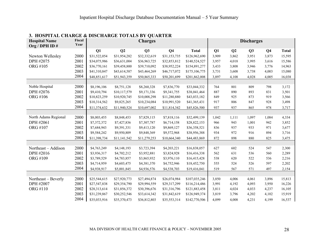| <b>Hospital Name</b><br>Org / DPH ID# | Fiscal<br>Year |              |              | <b>Charges</b> |                |               |       |                | <b>Discharges</b> |                |              |
|---------------------------------------|----------------|--------------|--------------|----------------|----------------|---------------|-------|----------------|-------------------|----------------|--------------|
|                                       |                | Q1           | Q2           | Q3             | Q <sub>4</sub> | <b>Total</b>  | Q1    | Q <sub>2</sub> | Q <sub>3</sub>    | Q <sub>4</sub> | <b>Total</b> |
| Newton Wellesley                      | 2000           | \$31,522,054 | \$31,954,282 | \$32,332,619   | \$31,153,735   | \$126,962,690 | 3,909 | 3,862          | 3,951             | 3,873          | 15,595       |
| DPH #2075                             | 2001           | \$34,075,986 | \$36,631,004 | \$36,963,725   | \$32,853,812   | \$140,524,527 | 3,957 | 4,018          | 3,995             | 3,616          | 15,586       |
| <b>ORG #105</b>                       | 2002           | \$36,770,161 | \$39,458,800 | \$39,710,092   | \$38,952,224   | \$154,891,277 | 3,433 | 3,808          | 3,946             | 3,776          | 14,963       |
|                                       | 2003           | \$41,310,847 | \$43,614,587 | \$43,464,269   | \$46,717,072   | \$175,106,775 | 3,731 | 3,608          | 3,738             | 4,003          | 15,080       |
|                                       | 2004           | \$48,851,617 | \$51,943,359 | \$50,865,333   | \$50,201,699   | \$201,862,008 | 3,897 | 4,108          | 4,028             | 4,005          | 16,038       |
|                                       |                |              |              |                |                |               |       |                |                   |                |              |
| Noble Hospital                        | 2000           | \$8,196,106  | \$8,751,128  | \$8,260,328    | \$7,836,770    | \$33,044,332  | 764   | 801            | 809               | 798            | 3,172        |
| DPH #2076                             | 2001           | \$9,410,794  | \$10,117,579 | \$9,171,336    | \$9,341,755    | \$38,041,464  | 887   | 890            | 893               | 831            | 3,501        |
| ORG #106                              | 2002           | \$10,823,259 | \$10,920,745 | \$10,008,298   | \$11,280,880   | \$43,033,182  | 849   | 925            | 873               | 919            | 3,566        |
|                                       | 2003           | \$10,314,562 | \$9,825,265  | \$10,234,084   | \$10,991,520   | \$41,365,431  | 917   | 806            | 847               | 928            | 3,498        |
|                                       | 2004           | \$11,374,632 | \$11,940,524 | \$10,697,002   | \$11,814,342   | \$45,826,500  | 937   | 937            | 865               | 978            | 3,717        |
|                                       |                |              |              |                |                |               |       |                |                   |                |              |
| North Adams Regional                  | 2000           | \$8,003,455  | \$8,848,453  | \$7,829,115    | \$7,818,116    | \$32,499,139  | 1,042 | 1,111          | 1,097             | 1,084          | 4,334        |
| DPH #2061                             | 2001           | \$7,372,372  | \$7,427,836  | \$7,307,787    | \$6,714,158    | \$28,822,153  | 966   | 943            | 1,001             | 942            | 3,852        |
| <b>ORG #107</b>                       | 2002           | \$7,684,943  | \$9,391,331  | \$9,413,120    | \$9,869,127    | \$36,358,521  | 836   | 937            | 933               | 971            | 3,677        |
|                                       | 2003           | \$9,584,242  | \$9,950,809  | \$9,848,369    | \$9,572,968    | \$38,956,388  | 934   | 972            | 916               | 894            | 3,716        |
|                                       | 2004           | \$11,398,734 | \$11,141,542 | \$11,279,253   | \$10,664,340   | \$44,483,869  | 872   | 898            | 880               | 825            | 3,475        |
|                                       |                |              |              |                |                |               |       |                |                   |                |              |
| Northeast – Addison                   | 2000           | \$4,763,249  | \$4,148,193  | \$3,723,394    | \$4,203,221    | \$16,838,057  | 627   | 602            | 524               | 547            | 2,300        |
| DPH #2016                             | 2001           | \$3,936,317  | \$4,702,212  | \$3,952,881    | \$3,824,928    | \$16,416,338  | 562   | 631            | 536               | 560            | 2,289        |
| <b>ORG #109</b>                       | 2002           | \$3,789,529  | \$4,783,857  | \$3,865,932    | \$3,976,110    | \$16,415,428  | 538   | 620            | 522               | 536            | 2,216        |
|                                       | 2003           | \$4,714,959  | \$4,603,475  | \$4,381,370    | \$4,752,946    | \$18,452,750  | 555   | 524            | 526               | 597            | 2,202        |
|                                       | 2004           | \$4,938,917  | \$5,001,845  | \$4,936,576    | \$4,538,703    | \$19,416,041  | 519   | 567            | 571               | 497            | 2,154        |
|                                       |                |              |              |                |                |               |       |                |                   |                |              |
| Northeast – Beverly                   | 2000           | \$25,544,615 | \$27,920,773 | \$27,494,874   | \$26,074,984   | \$107,035,246 | 3,850 | 4,006          | 4,061             | 3,896          | 15,813       |
| DPH #2007                             | 2001           | \$27,547,838 | \$29,354,790 | \$29,994,559   | \$29,317,299   | \$116,214,486 | 3,991 | 4,192          | 4,093             | 3,950          | 16,226       |
| ORG #110                              | 2002           | \$28,313,614 | \$31,856,372 | \$30,396,676   | \$31,316,796   | \$121,883,458 | 3,811 | 4,024          | 4,033             | 4,237          | 16,105       |
|                                       | 2003           | \$31,239,867 | \$30,252,546 | \$33,614,342   | \$31,842,619   | \$126,949,374 | 3,819 | 3,796          | 4,202             | 4,102          | 15,919       |
|                                       | 2004           | \$35,033,916 | \$35,370,473 | \$36,812,803   | \$35,553,314   | \$142,770,506 | 4,099 | 4.008          | 4,231             | 4,199          | 16,537       |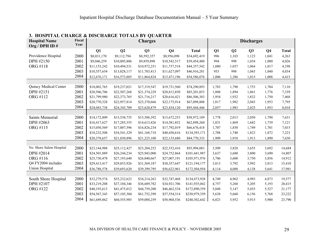| <b>Hospital Name</b><br>Org / DPH ID# | Fiscal<br>Year |              |              | <b>Charges</b> |                |               |       |                | <b>Discharges</b> |                |              |
|---------------------------------------|----------------|--------------|--------------|----------------|----------------|---------------|-------|----------------|-------------------|----------------|--------------|
|                                       |                | Q1           | Q2           | Q <sub>3</sub> | Q <sub>4</sub> | <b>Total</b>  | Q1    | Q <sub>2</sub> | Q <sub>3</sub>    | Q <sub>4</sub> | <b>Total</b> |
| Providence Hospital                   | 2000           | \$8,031,170  | \$9,112,794  | \$8,592,357    | \$8,956,098    | \$34,692,419  | 996   | 1,103          | 1,123             | 1,041          | 4,263        |
| DPH #2150                             | 2001           | \$9,046,259  | \$10,005,806 | \$9,859,898    | \$10,542,517   | \$39,454,480  | 994   | 998            | 1,034             | 1,000          | 4,026        |
| ORG #118                              | 2002           | \$11,153,242 | \$10,494,531 | \$10,972,251   | \$11,737,518   | \$44,357,542  | 1,080 | 1,037          | 1,064             | 1,017          | 4,198        |
|                                       | 2003           | \$10,557,654 | \$13,028,117 | \$11,703,413   | \$11,627,097   | \$46,916,281  | 953   | 998            | 1,043             | 1,040          | 4,034        |
|                                       | 2004           | \$12,676,171 | \$16,573,885 | \$11,864,824   | \$13,471,196   | \$54,586,076  | 1,006 | 1,386          | 1,015             | 1,008          | 4,415        |
|                                       |                |              |              |                |                |               |       |                |                   |                |              |
| Quincy Medical Center                 | 2000           | \$18,002,765 | \$19,237,021 | \$17,319,547   | \$19,731,560   | \$74,290,893  | 1,783 | 1,790          | 1,753             | 1,784          | 7,110        |
| DPH #2151                             | 2001           | \$20,506,706 | \$22,507,268 | \$21,374,229   | \$20,812,850   | \$85,201,053  | 1,808 | 1,894          | 1,861             | 1,776          | 7,339        |
| ORG #112                              | 2002           | \$21,799,980 | \$22,373,765 | \$21,716,217   | \$20,616,421   | \$86,506,383  | 1,954 | 1,932          | 1,832             | 1,750          | 7,468        |
|                                       | 2003           | \$20,770,328 | \$22,957,814 | \$23,370,666   | \$22,175,914   | \$67,098,808  | 1,817 | 1,982          | 2,043             | 1,953          | 7,795        |
|                                       | 2004           | \$24,043,738 | \$24,345,709 | \$23,620,879   | \$23,434,120   | \$95,444,446  | 2,057 | 1,983          | 2,025             | 1,953          | 8,018        |
|                                       |                |              |              |                |                |               |       |                |                   |                |              |
| Saints Memorial                       | 2000           | \$14,172,809 | \$15,538,735 | \$15,588,392   | \$13,672,253   | \$58,972,189  | 1,778 | 2,013          | 2,050             | 1,790          | 7,631        |
| DPH #2063                             | 2001           | \$16,417,627 | \$17,285,355 | \$14,613,426   | \$14,581,852   | \$62,898,260  | 1,831 | 1,869          | 1,682             | 1,739          | 7,121        |
| ORG #115                              | 2002           | \$15,050,569 | \$17,007,596 | \$16,826,234   | \$17,792,019   | \$66,676,418  | 1,707 | 1,858          | 1,749             | 1,701          | 7,015        |
|                                       | 2003           | \$18,232,508 | \$34,541,329 | \$41,168,718   | \$40,450,616   | \$134,393,171 | 1,788 | 1,740          | 1,823             | 1,872          | 7,223        |
|                                       | 2004           | \$20,378,657 | \$21,030,896 | \$21,225,100   | \$22,135,680   | \$84,770,333  | 1,909 | 1,918          | 1,913             | 1,890          | 7,630        |
|                                       |                |              |              |                |                |               |       |                |                   |                |              |
| No. Shore Salem Hospital              | 2000           | \$23,144,988 | \$25,112,427 | \$23,204,252   | \$22,532,416   | \$93,994,083  | 3,509 | 3,828          | 3,655             | 3,692          | 14,684       |
| DPH #2014                             | 2001           | \$24,501,889 | \$26,244,234 | \$25,943,000   | \$24,752,864   | \$101,441,987 | 3,637 | 3,680          | 3,800             | 3,690          | 14,807       |
| ORG #116                              | 2002           | \$25,730,478 | \$27,193,640 | \$26,040,667   | \$27,007,191   | \$105,971,976 | 3,706 | 3,600          | 3,750             | 3,856          | 14,912       |
| Q4 FY2004 includes                    | 2003           | \$29,413,417 | \$29,853,926 | \$31,569,187   | \$30,357,647   | \$121,194,177 | 3,813 | 3,792          | 3,992             | 3,813          | 15,410       |
| <b>Union Hospital</b>                 | 2004           | \$36,788,578 | \$39,693,620 | \$39,399,795   | \$56,622,961   | \$172,504,954 | 4,114 | 4,088          | 4,138             | 5,641          | 17,981       |
|                                       |                |              |              |                |                |               |       |                |                   |                |              |
| South Shore Hospital                  | 2000           | \$32,279,574 | \$35,232,623 | \$34,214,263   | \$32,747,468   | \$134,473,928 | 4,749 | 4,962          | 4,993             | 4,873          | 19,577       |
| DPH #2107                             | 2001           | \$33,219,208 | \$37,104,346 | \$36,689,782   | \$34,921,706   | \$141,935,042 | 4,757 | 5,260          | 5,205             | 5,193          | 20,415       |
| ORG #122                              | 2002           | \$40,193,613 | \$41,475,012 | \$44,759,200   | \$46,462,534   | \$172,890,359 | 5,048 | 5,147          | 5,455             | 5,527          | 21,177       |
|                                       | 2003           | \$54,567,343 | \$57,105,304 | \$61,752,398   | \$57,554,314   | \$230,979,359 | 5,638 | 5,660          | 6,156             | 5,768          | 23,222       |
|                                       | 2004           | \$61,689,862 | \$60,555,985 | \$59,088,259   | \$58,968,536   | \$240,302,642 | 6,023 | 5,952          | 5,915             | 5,900          | 23,790       |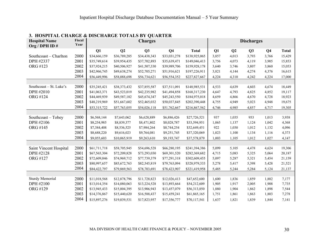| <b>Hospital Name</b><br>Org / DPH ID# | Fiscal<br>Year |              |              | <b>Charges</b> |                |               |       |                | <b>Discharges</b> |                |              |
|---------------------------------------|----------------|--------------|--------------|----------------|----------------|---------------|-------|----------------|-------------------|----------------|--------------|
|                                       |                | Q1           | Q2           | Q3             | Q <sub>4</sub> | <b>Total</b>  | Q1    | Q <sub>2</sub> | Q3                | Q <sub>4</sub> | <b>Total</b> |
| Southcoast - Charlton                 | 2000           | \$34,666,159 | \$36,789,285 | \$34,438,343   | \$33,031,278   | \$138,925,065 | 3,857 | 4,013          | 3,793             | 3,766          | 15,429       |
| DPH #2337                             | 2001           | \$35,749,614 | \$39,954,435 | \$37,702,893   | \$35,639,471   | \$149,046,413 | 3,756 | 4,073          | 4,119             | 3,905          | 15,853       |
| ORG #123                              | 2002           | \$37,924,215 | \$40,506,927 | \$41,507,330   | \$39,989,706   | \$159,928,178 | 3,640 | 3,746          | 3,807             | 3,860          | 15,053       |
|                                       | 2003           | \$42,966,745 | \$49,638,274 | \$52,705,271   | \$51,916,621   | \$197,226,911 | 3,821 | 4,144          | 4,274             | 4,376          | 16,615       |
|                                       | 2004           | \$56,449,996 | \$58,088,698 | \$56,734,621   | \$56,554,352   | \$227,827,667 | 4,224 | 4,310          | 4,242             | 4,224          | 17,000       |
|                                       |                |              |              |                |                |               |       |                |                   |                |              |
| Southcoast - St. Luke's               | 2000           | \$35,245,421 | \$38,373,432 | \$37,855,587   | \$37,511,091   | \$148,985,531 | 4,533 | 4,639          | 4,603             | 4,674          | 18,449       |
| DPH #2010                             | 2001           | \$41,063,371 | \$43,523,019 | \$42,235,982   | \$41,494,858   | \$168,317,230 | 4,647 | 4,793          | 4,825             | 4,852          | 19,117       |
| <b>ORG #124</b>                       | 2002           | \$44,469,939 | \$49,587,182 | \$45,674,347   | \$45,243,550   | \$184,975,018 | 4,659 | 4,866          | 4,670             | 4,728          | 18,923       |
|                                       | 2003           | \$48,219,969 | \$51,667,602 | \$52,465,032   | \$50,037,845   | \$202,390,448 | 4,755 | 4,949          | 5,023             | 4,948          | 19,675       |
|                                       | 2004           | \$53,315,722 | \$57,763,055 | \$54,026,118   | \$51,762,667   | \$216,867,562 | 4,746 | 4,985          | 4,857             | 4,717          | 19,305       |
|                                       |                |              |              |                |                |               |       |                |                   |                |              |
| Southcoast – Tobey                    | 2000           | \$6,568,144  | \$7,643,062  | \$6,628,889    | \$6,886,426    | \$27,726,521  | 937   | 1,035          | 953               | 1,013          | 3,938        |
| DPH #2106                             | 2001           | \$8,254,985  | \$8,839,377  | \$8,471,802    | \$8,028,787    | \$33,594,951  | 1,065 | 1,137          | 1,124             | 1,042          | 4,368        |
| ORG #145                              | 2002           | \$7,384,408  | \$8,536,525  | \$7,984,264    | \$8,744,254    | \$32,649,451  | 922   | 1,030          | 1,012             | 1,132          | 4,096        |
|                                       | 2003           | \$8,688,220  | \$9,616,023  | \$9,764,081    | \$9,251,745    | \$37,320,069  | 1,023 | 1,100          | 1,134             | 1,116          | 4,373        |
|                                       | 2004           | \$9,055,603  | \$10,065,919 | \$9,263,610    | \$9,193,747    | \$37,578,879  | 1,003 | 1,105          | 1,012             | 1,027          | 4,147        |
|                                       |                |              |              |                |                |               |       |                |                   |                |              |
| Saint Vincent Hospital                | 2000           | \$61,711,718 | \$58,705,945 | \$54,696,528   | \$66,280,195   | \$241,394,386 | 5,099 | 5,105          | 4,478             | 4,624          | 19,306       |
| DPH #2128                             | 2001           | \$67,565,304 | \$72,209,828 | \$73,293,030   | \$69,301,520   | \$282,369,682 | 4,715 | 5,083          | 5,325             | 5,064          | 20,187       |
| ORG #127                              | 2002           | \$72,609,046 | \$74,969,712 | \$77,739,379   | \$77,291,318   | \$302,609,455 | 5,097 | 5,287          | 5,321             | 5,454          | 21,159       |
|                                       | 2003           | \$80,997,657 | \$85,672,763 | \$82,545,819   | \$79,763,094   | \$328,979,333 | 5,278 | 5,417          | 5,398             | 5,428          | 21,521       |
|                                       | 2004           | \$84,422,797 | \$79,869,563 | \$78,703,691   | \$78,423,907   | \$321,419,958 | 5,485 | 5,244          | 5,284             | 5,124          | 21,137       |
|                                       |                |              |              |                |                |               |       |                |                   |                |              |
| <b>Sturdy Memorial</b>                | 2000           | \$11,018,568 | \$12,878,796 | \$11,728,823   | \$12,026,413   | \$47,652,600  | 1,600 | 1,836          | 1,859             | 1,882          | 7,177        |
| DPH #2100                             | 2001           | \$13,014,354 | \$14,080,063 | \$13,224,528   | \$13,893,664   | \$54,212,609  | 1,905 | 1,917          | 2,005             | 1,908          | 7,735        |
| ORG #129                              | 2002           | \$13,945,433 | \$15,004,395 | \$13,906,943   | \$13,457,079   | \$56,313,850  | 1,880 | 1,904          | 1,862             | 1,898          | 7,544        |
|                                       | 2003           | \$14,376,867 | \$15,440,620 | \$16,588,437   | \$15,459,241   | \$61,865,165  | 1,751 | 1,861          | 1,863             | 1,803          | 7,278        |
|                                       | 2004           | \$15,897,276 | \$19,039,531 | \$17,823,957   | \$17,356,777   | \$70,117,541  | 1,637 | 1,821          | 1,839             | 1,844          | 7,141        |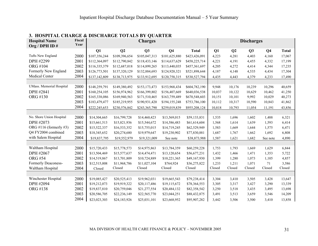| <b>Hospital Name</b>     | Fiscal<br>Year |               |               | <b>Charges</b> |                |               |        |                | <b>Discharges</b> |                |              |
|--------------------------|----------------|---------------|---------------|----------------|----------------|---------------|--------|----------------|-------------------|----------------|--------------|
| Org / DPH ID#            |                |               |               |                |                |               |        |                |                   |                |              |
|                          |                | Q1            | Q2            | Q <sub>3</sub> | Q <sub>4</sub> | <b>Total</b>  | Q1     | Q <sub>2</sub> | Q3                | Q <sub>4</sub> | <b>Total</b> |
| Tufts New England        | 2000           | \$107,356,244 | \$109,396,654 | \$105,047,313  | \$101,625,880  | \$423,426,091 | 4,223  | 4,281          | 4,403             | 4,160          | 17,067       |
| DPH #2299                | 2001           | \$112,364,097 | \$112,790,842 | \$118,433,146  | \$114,637,629  | \$458,225,714 | 4,221  | 4,191          | 4,455             | 4,332          | 17,199       |
| <b>ORG #104</b>          | 2002           | \$116,335,379 | \$112,687,018 | \$114,899,265  | \$113,440,035  | \$457,361,697 | 4,205  | 4,272          | 4,414             | 4,344          | 17,235       |
| Formerly New England     | 2003           | \$126,773,501 | \$137,320,129 | \$132,884,693  | \$124,920,321  | \$521,898,644 | 4,187  | 4,148          | 4,535             | 4,434          | 17,304       |
| Medical Center           | 2004           | \$137,142,809 | \$138,713,975 | \$133,912,695  | \$120,758,315  | \$530,527,794 | 4,435  | 4,443          | 4,379             | 4,233          | 17,490       |
|                          |                |               |               |                |                |               |        |                |                   |                |              |
| UMass. Memorial Hospital | 2000           | \$148,259,791 | \$149,380,492 | \$153,173,473  | \$153,968,434  | \$604,782,190 | 9,948  | 10,176         | 10,239            | 10,296         | 40,659       |
| DPH #2841                | 2001           | \$160,254,105 | \$156,974,962 | \$166,399,802  | \$156,407,669  | \$640,036,538 | 10,037 | 10,122         | 10,629            | 10,462         | 41,250       |
| ORG #130                 | 2002           | \$165,338,086 | \$169,940,563 | \$171,510,465  | \$163,759,489  | \$670,548,603 | 10,151 | 10,101         | 9,992             | 10,029         | 40,273       |
|                          | 2003           | \$183,479,477 | \$185,219,955 | \$190,931,420  | \$194,155,248  | \$753,786,100 | 10,112 | 10,317         | 10,590            | 10,843         | 41,862       |
|                          | 2004           | \$222,245,653 | \$230,576,842 | \$243,365,790  | \$259,019,839  | \$955,208,124 | 10,818 | 10,793         | 11,054            | 11,191         | 43,856       |
|                          |                |               |               |                |                |               |        |                |                   |                |              |
| No. Shore Union Hospital | 2000           | \$14,304,665  | \$16,799,728  | \$14,460,423   | \$13,569,015   | \$59,133,831  | 1,535  | 1,696          | 1,602             | 1,488          | 6,321        |
| DPH #2073                | 2001           | \$15,661,513  | \$15,821,936  | \$15,544,672   | \$14,586,483   | \$61,614,604  | 1,568  | 1,614          | 1,639             | 1,593          | 6,414        |
| ORG #116 (formerly #3)   | 2002           | \$15,522,337  | \$16,533,352  | \$15,755,015   | \$14,719,245   | \$62,529,949  | 1,583  | 1,669          | 1,644             | 1,575          | 6,471        |
| Q4 FY2004 combined       | 2003           | \$18,345,652  | \$20,274,680  | \$19,979,647   | \$19,230,902   | \$77,830,881  | 1,687  | 1,767          | 1,662             | 1,692          | 6,808        |
| with Salem Hospital      | 2004           | \$19,837,795  | \$19,552,979  | \$19,321,009   | See note       | \$38,873,988  | 1,587  | 1,621          | 1,682             | See note       | 4,890        |
|                          |                |               |               |                |                |               |        |                |                   |                |              |
| Waltham Hospital         | 2000           | \$15,720,433  | \$15,778,573  | \$14,975,863   | \$13,784,359   | \$60,259,228  | 1,753  | 1,793          | 1,669             | 1,629          | 6,844        |
| DPH #2067                | 2001           | \$13,504,469  | \$15,577,637  | \$14,474,471   | \$13,120,654   | \$56,677,231  | 1,432  | 1,466          | 1,471             | 1,353          | 5,722        |
| <b>ORG #54</b>           | 2002           | \$14,519,867  | \$13,701,809  | \$10,724,889   | \$10,221,365   | \$49,167,930  | 1,399  | 1,280          | 1,073             | 1,105          | 4,857        |
| Formerly Deaconess-      | 2003           | \$12,515,008  | \$11,968,786  | \$11,027,104   | \$764,924      | \$36,275,822  | 1,233  | 1,211          | 1,071             | 71             | 3,586        |
| Waltham Hospital         | 2004           | Closed        | Closed        | Closed         | Closed         | Closed        | Closed | Closed         | Closed            | Closed         | Closed       |
|                          |                |               |               |                |                |               |        |                |                   |                |              |
| Winchester Hospital      | 2000           | \$19,085,427  | \$20,525,413  | \$19,962,031   | \$19,665,543   | \$79,238,414  | 3,304  | 3,410          | 3,505             | 3,428          | 13,647       |
| DPH #2094                | 2001           | \$19,212,073  | \$19,919,322  | \$20,117,486   | \$19,115,672   | \$78,364,553  | 3,305  | 3,317          | 3,427             | 3,290          | 13,339       |
| <b>ORG #138</b>          | 2002           | \$19,837,810  | \$20,759,046  | \$21,277,554   | \$20,484,132   | \$82,358,542  | 3,250  | 3,518          | 3,435             | 3,495          | 13,698       |
|                          | 2003           | \$20,586,705  | \$22,236,149  | \$22,565,770   | \$23,044,251   | \$88,432,875  | 3,491  | 3,513          | 3,659             | 3,546          | 14,209       |
|                          | 2004           | \$23,023,303  | \$24,183,926  | \$25,031,101   | \$23,668,952   | \$95,907,282  | 3,442  | 3,506          | 3,500             | 3,410          | 13,858       |